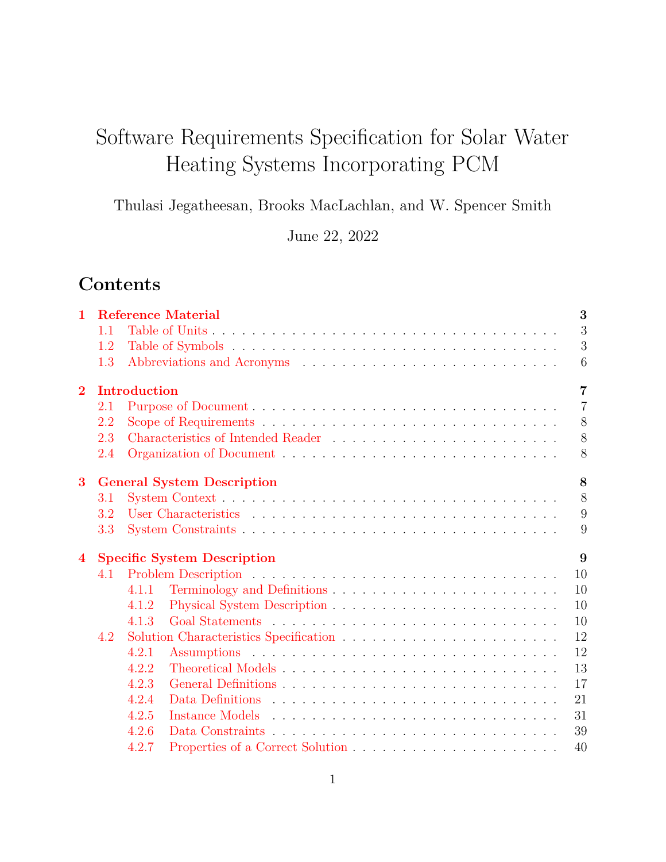# Software Requirements Specification for Solar Water Heating Systems Incorporating PCM

Thulasi Jegatheesan, Brooks MacLachlan, and W. Spencer Smith

June 22, 2022

# **Contents**

| $\mathbf{1}$   |     |              | <b>Reference Material</b>          | 3              |
|----------------|-----|--------------|------------------------------------|----------------|
|                | 1.1 |              |                                    | 3              |
|                | 1.2 |              |                                    | 3              |
|                | 1.3 |              |                                    | 6              |
| $\overline{2}$ |     | Introduction |                                    | $\overline{7}$ |
|                | 2.1 |              |                                    | $\overline{7}$ |
|                | 2.2 |              |                                    | 8              |
|                | 2.3 |              |                                    | 8              |
|                | 2.4 |              |                                    | 8              |
| 3              |     |              | <b>General System Description</b>  | 8              |
|                | 3.1 |              |                                    | 8              |
|                | 3.2 |              |                                    | 9              |
|                | 3.3 |              |                                    | 9              |
| $\bf{4}$       |     |              | <b>Specific System Description</b> | 9              |
|                | 4.1 |              |                                    | 10             |
|                |     | 4.1.1        |                                    | 10             |
|                |     | 4.1.2        |                                    | 10             |
|                |     | 4.1.3        |                                    | 10             |
|                | 4.2 |              |                                    | 12             |
|                |     | 4.2.1        |                                    | 12             |
|                |     | 4.2.2        |                                    | 13             |
|                |     | 4.2.3        |                                    | 17             |
|                |     | 4.2.4        |                                    | 21             |
|                |     | 4.2.5        |                                    | 31             |
|                |     | 4.2.6        |                                    | 39             |
|                |     | 4.2.7        |                                    | 40             |
|                |     |              |                                    |                |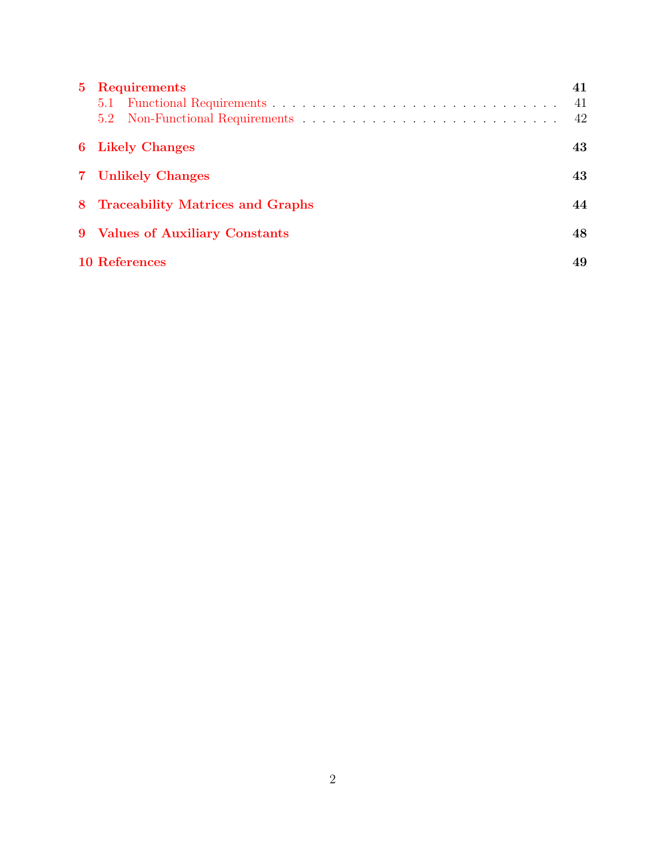| 5 Requirements                           | 41<br>41<br>42 |
|------------------------------------------|----------------|
| <b>6</b> Likely Changes                  | 43             |
| 7 Unlikely Changes                       | 43             |
| 8 Traceability Matrices and Graphs<br>44 |                |
| 9 Values of Auxiliary Constants          | 48             |
| <b>10 References</b>                     | 49             |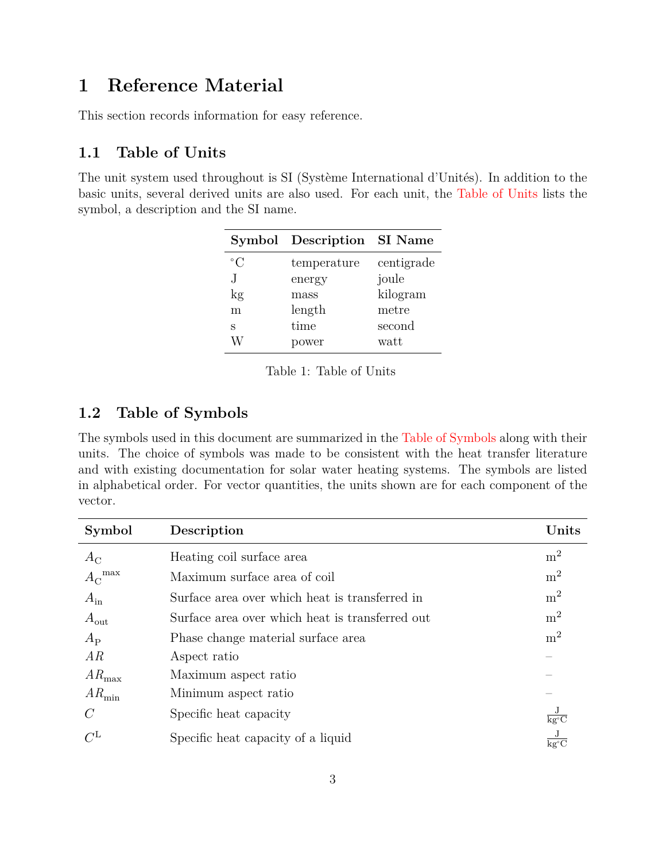## <span id="page-2-0"></span>**1 Reference Material**

This section records information for easy reference.

### <span id="page-2-1"></span>**1.1 Table of Units**

<span id="page-2-3"></span>The unit system used throughout is SI (Système International d'Unités). In addition to the basic units, several derived units are also used. For each unit, the [Table of Units](#page-2-3) lists the symbol, a description and the SI name.

|             | Symbol Description | SI Name    |
|-------------|--------------------|------------|
| $^{\circ}C$ | temperature        | centigrade |
| J.          | energy             | joule      |
| kg          | mass               | kilogram   |
| m           | length             | metre      |
| S           | time               | second     |
|             | ower               | watt       |

Table 1: Table of Units

## <span id="page-2-2"></span>**1.2 Table of Symbols**

The symbols used in this document are summarized in the [Table of Symbols](#page-2-4) along with their units. The choice of symbols was made to be consistent with the heat transfer literature and with existing documentation for solar water heating systems. The symbols are listed in alphabetical order. For vector quantities, the units shown are for each component of the vector.

<span id="page-2-4"></span>

| Symbol                | Description                                     | Units                                  |
|-----------------------|-------------------------------------------------|----------------------------------------|
| $A_{\rm C}$           | Heating coil surface area                       | m <sup>2</sup>                         |
| $A_{\rm C}^{\rm max}$ | Maximum surface area of coil                    | m <sup>2</sup>                         |
| $A_{\rm in}$          | Surface area over which heat is transferred in  | m <sup>2</sup>                         |
| $A_{\rm out}$         | Surface area over which heat is transferred out | m <sup>2</sup>                         |
| $A_{\rm P}$           | Phase change material surface area              | $\mathrm{m}^2$                         |
| AR                    | Aspect ratio                                    |                                        |
| $AR_{\rm max}$        | Maximum aspect ratio                            |                                        |
| $AR_{\rm min}$        | Minimum aspect ratio                            |                                        |
| $\mathcal{C}$         | Specific heat capacity                          | $\overline{\text{kg}^{\circ}\text{C}}$ |
| $C^{\text{L}}$        | Specific heat capacity of a liquid              | $\overline{\text{kg}^{\circ}\text{C}}$ |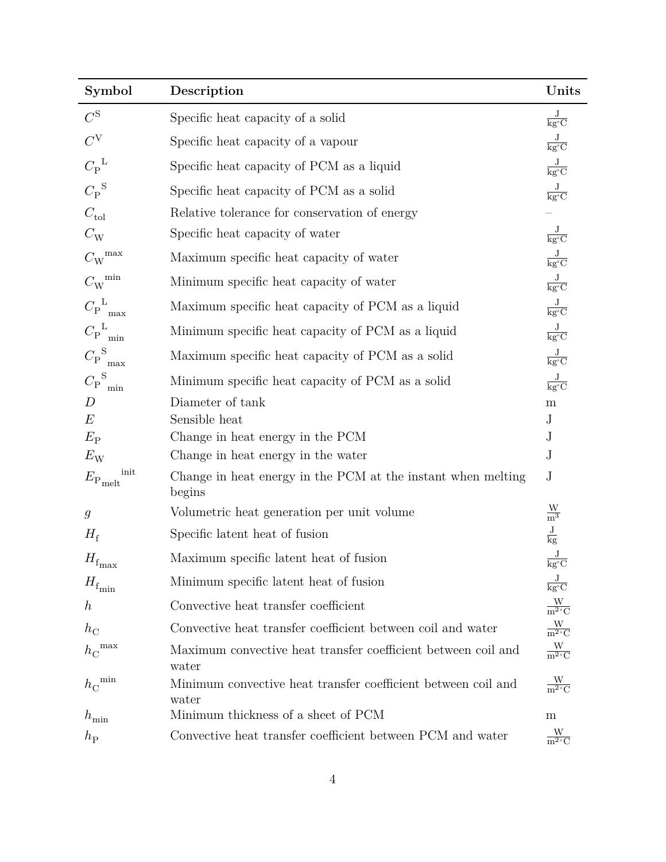| Symbol                          | Description                                                            | Units                                        |
|---------------------------------|------------------------------------------------------------------------|----------------------------------------------|
| $C^{\rm S}$                     | Specific heat capacity of a solid                                      | $\frac{\text{J}}{\text{kg}^{\circ}\text{C}}$ |
| $C^{V}$                         | Specific heat capacity of a vapour                                     | $\frac{\text{J}}{\text{kg}^{\circ}\text{C}}$ |
| $C_{\rm P}^{\rm L}$             | Specific heat capacity of PCM as a liquid                              | $\frac{\text{J}}{\text{kg}^{\circ}\text{C}}$ |
| $C_{\rm P}^{\rm S}$             | Specific heat capacity of PCM as a solid                               | $\frac{\text{J}}{\text{kg}^{\circ}\text{C}}$ |
| $C_{\text{tol}}$                | Relative tolerance for conservation of energy                          |                                              |
| $C_{\rm W}$                     | Specific heat capacity of water                                        | $\frac{\text{J}}{\text{kg}^{\circ}\text{C}}$ |
| $C_{\rm W}^{\rm max}$           | Maximum specific heat capacity of water                                | $\frac{\text{J}}{\text{kg}^{\circ}\text{C}}$ |
| $C_{\rm W}^{\rm \ min}$         | Minimum specific heat capacity of water                                | $\frac{\text{J}}{\text{kg}^{\circ}\text{C}}$ |
| $C_{\rm P}^{\text{L}}$<br>max   | Maximum specific heat capacity of PCM as a liquid                      | $\frac{\text{J}}{\text{kg}^{\circ}\text{C}}$ |
| ${C_{\rm P}}^{\rm L}_{\rm min}$ | Minimum specific heat capacity of PCM as a liquid                      | $\frac{\text{J}}{\text{kg}^{\circ}\text{C}}$ |
| ${C_{\rm P}}_{\rm max}^{\rm S}$ | Maximum specific heat capacity of PCM as a solid                       | $\frac{\text{J}}{\text{kg}^{\circ}\text{C}}$ |
| $C_{\rm P}^{\text{S}}$<br>min   | Minimum specific heat capacity of PCM as a solid                       | $\frac{\text{J}}{\text{kg}^{\circ}\text{C}}$ |
| $\boldsymbol{D}$                | Diameter of tank                                                       | ${\rm m}$                                    |
| E                               | Sensible heat                                                          | $\rm J$                                      |
| $E_{\rm P}$                     | Change in heat energy in the PCM                                       | $\mathbf J$                                  |
| $E_{\rm W}$                     | Change in heat energy in the water                                     | $\bf J$                                      |
| init<br>$E_{\rm P,melt}$        | Change in heat energy in the PCM at the instant when melting<br>begins | $\rm J$                                      |
| $\mathfrak{g}$                  | Volumetric heat generation per unit volume                             | $\frac{\text{W}}{\text{m}^3}$                |
| $H_{\rm f}$                     | Specific latent heat of fusion                                         | $\frac{J}{kg}$                               |
| $H_{\rm f_{max}}$               | Maximum specific latent heat of fusion                                 | $\overline{\text{kg}^{\circ}\text{C}}$       |
| $H_{\rm f_{min}}$               | Minimum specific latent heat of fusion                                 | $\frac{J}{kg^{\circ}C}$                      |
| $\boldsymbol{h}$                | Convective heat transfer coefficient                                   | $\frac{W}{m^2 C}$                            |
| $h_{\rm C}$                     | Convective heat transfer coefficient between coil and water            | $\frac{W}{m^2 C}$                            |
| ${h_{\rm C}}^{\rm max}$         | Maximum convective heat transfer coefficient between coil and<br>water | $\frac{W}{m^2 C}$                            |
| ${h_{\rm C}}^{\rm min}$         | Minimum convective heat transfer coefficient between coil and<br>water | $\frac{W}{m^2 C}$                            |
| $h_{\min}$                      | Minimum thickness of a sheet of PCM                                    | ${\bf m}$                                    |
| $h_{\rm P}$                     | Convective heat transfer coefficient between PCM and water             | $\frac{W}{m^2 C}$                            |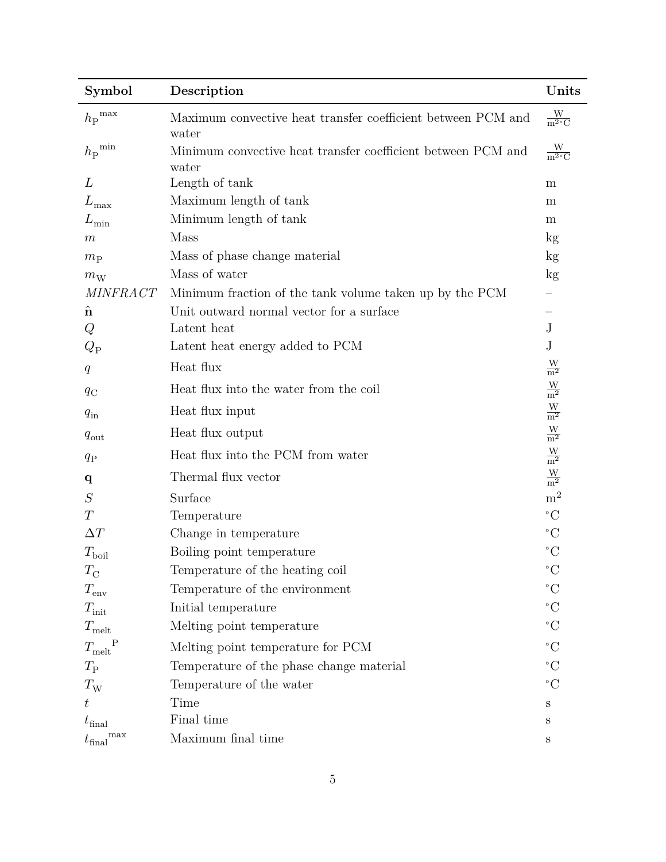| Symbol                         | Description                                                           | Units                         |
|--------------------------------|-----------------------------------------------------------------------|-------------------------------|
| $h_{\rm P}^{\rm max}$          | Maximum convective heat transfer coefficient between PCM and<br>water | $\frac{W}{m^2 C}$             |
| $h_{\rm P}^{\rm min}$          | Minimum convective heat transfer coefficient between PCM and<br>water | $\frac{W}{m^2 C}$             |
| L                              | Length of tank                                                        | m                             |
| $L_{\rm max}$                  | Maximum length of tank                                                | m                             |
| $L_{\rm min}$                  | Minimum length of tank                                                | m                             |
| $\boldsymbol{m}$               | <b>Mass</b>                                                           | kg                            |
| $m_{\rm P}$                    | Mass of phase change material                                         | kg                            |
| $m_{\rm W}$                    | Mass of water                                                         | $\mathrm{kg}$                 |
| <b>MINFRACT</b>                | Minimum fraction of the tank volume taken up by the PCM               |                               |
| $\hat{\mathbf{n}}$             | Unit outward normal vector for a surface                              |                               |
| Q                              | Latent heat                                                           | J                             |
| $Q_{\rm P}$                    | Latent heat energy added to PCM                                       | $_{\rm J}$                    |
| q                              | Heat flux                                                             | $\frac{W}{m^2}$               |
| $q_{\rm C}$                    | Heat flux into the water from the coil                                | $\frac{\text{W}}{\text{m}^2}$ |
| $q_{\rm in}$                   | Heat flux input                                                       | $\frac{\text{W}}{\text{m}^2}$ |
| $q_{\text{out}}$               | Heat flux output                                                      | $\frac{\text{W}}{\text{m}^2}$ |
| $q_{\rm P}$                    | Heat flux into the PCM from water                                     | $\frac{\text{W}}{\text{m}^2}$ |
| $\mathbf q$                    | Thermal flux vector                                                   | $\frac{W}{m^2}$               |
| S                              | Surface                                                               | m <sup>2</sup>                |
| T                              | Temperature                                                           | $\rm ^{\circ}C$               |
| $\Delta T$                     | Change in temperature                                                 | $\rm ^{\circ}C$               |
| $T_{\rm{boil}}$                | Boiling point temperature                                             | $^{\circ}C$                   |
| $T_{\rm C}$                    | Temperature of the heating coil                                       | $\rm ^{\circ}C$               |
| $T_{\rm env}$                  | Temperature of the environment                                        | $\rm ^{\circ}C$               |
| $T_{\text{init}}$              | Initial temperature                                                   | $^{\circ}C$                   |
| $T_{\rm melt}$                 | Melting point temperature                                             | $\rm ^{\circ}C$               |
| $\, {\bf P}$<br>$T_{\rm melt}$ | Melting point temperature for PCM                                     | $^{\circ}C$                   |
| $T_{\rm P}$                    | Temperature of the phase change material                              | $\rm ^{\circ}C$               |
| $T_{\rm W}$                    | Temperature of the water                                              | $^{\circ}C$                   |
| $t\,$                          | Time                                                                  | S                             |
| $t_{\text{final}}$             | Final time                                                            | S                             |
| max<br>$t_{\text{final}}$      | Maximum final time                                                    | $\rm S$                       |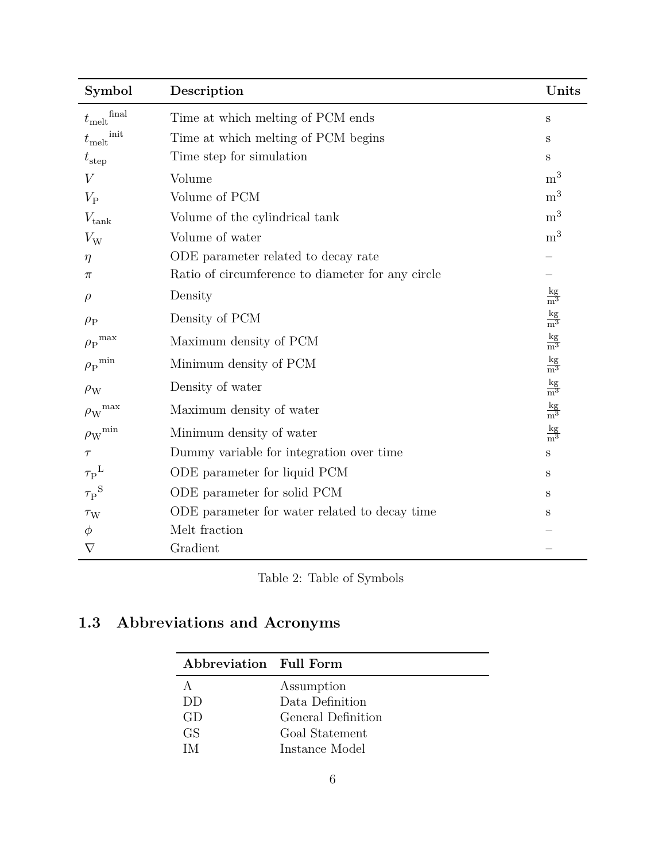| Symbol                           | Description                                       | Units                          |
|----------------------------------|---------------------------------------------------|--------------------------------|
| $t_{\rm melt}^{\rm final}$       | Time at which melting of PCM ends                 | S                              |
| $t_{\rm melt}^{\rm init}$        | Time at which melting of PCM begins               | S                              |
| $t_{\rm step}$                   | Time step for simulation                          | S                              |
| V                                | Volume                                            | m <sup>3</sup>                 |
| $V_{\rm P}$                      | Volume of PCM                                     | m <sup>3</sup>                 |
| $V_{\rm tank}$                   | Volume of the cylindrical tank                    | m <sup>3</sup>                 |
| $V_{\rm W}$                      | Volume of water                                   | m <sup>3</sup>                 |
| $\eta$                           | ODE parameter related to decay rate               |                                |
| π                                | Ratio of circumference to diameter for any circle |                                |
| $\rho$                           | Density                                           | $rac{\text{kg}}{\text{m}^3}$   |
| $\rho_P$                         | Density of PCM                                    | $rac{\text{kg}}{\text{m}^3}$   |
| ${\rho_{\rm P}}^{\rm max}$       | Maximum density of PCM                            | $\frac{\text{kg}}{\text{m}^3}$ |
| ${\rho_{\rm P}}^{\rm min}$       | Minimum density of PCM                            | $\frac{\text{kg}}{\text{m}^3}$ |
| $\rho_{\rm W}$                   | Density of water                                  | $rac{kg}{m^3}$                 |
| ${\rho_{\text{W}}}^{\text{max}}$ | Maximum density of water                          | $\frac{\text{kg}}{\text{m}^3}$ |
| ${\rho_{\text{W}}}^{\text{min}}$ | Minimum density of water                          | $rac{kg}{m^3}$                 |
| $\tau$                           | Dummy variable for integration over time          | $\mathbf S$                    |
| $\tau_{\rm P}^{\;\rm L}$         | ODE parameter for liquid PCM                      | S                              |
| $\tau_{\rm P}^{\rm S}$           | ODE parameter for solid PCM                       | S                              |
| $\tau_{\rm W}$                   | ODE parameter for water related to decay time     | S                              |
| $\phi$                           | Melt fraction                                     |                                |
| $\nabla$                         | Gradient                                          |                                |

Table 2: Table of Symbols

# <span id="page-5-0"></span>**1.3 Abbreviations and Acronyms**

| Abbreviation Full Form |                    |
|------------------------|--------------------|
|                        | Assumption         |
| DD                     | Data Definition    |
| GD                     | General Definition |
| GS.                    | Goal Statement     |
| IМ                     | Instance Model     |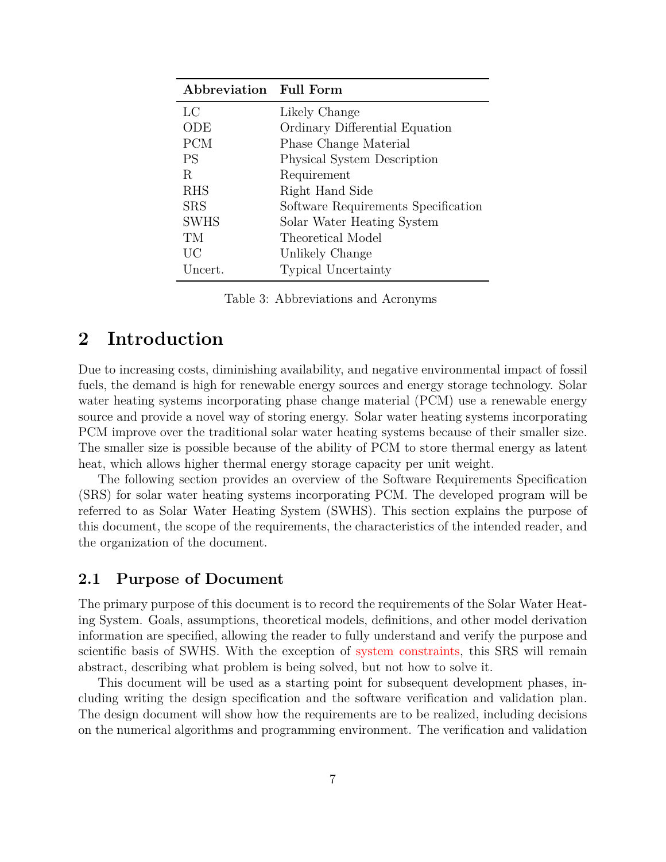| Abbreviation Full Form |                                     |
|------------------------|-------------------------------------|
| LC                     | Likely Change                       |
| ODE                    | Ordinary Differential Equation      |
| <b>PCM</b>             | Phase Change Material               |
| <b>PS</b>              | Physical System Description         |
| R                      | Requirement                         |
| <b>RHS</b>             | Right Hand Side                     |
| <b>SRS</b>             | Software Requirements Specification |
| <b>SWHS</b>            | Solar Water Heating System          |
| TМ                     | Theoretical Model                   |
| UC                     | Unlikely Change                     |
| Uncert.                | <b>Typical Uncertainty</b>          |

Table 3: Abbreviations and Acronyms

## <span id="page-6-0"></span>**2 Introduction**

Due to increasing costs, diminishing availability, and negative environmental impact of fossil fuels, the demand is high for renewable energy sources and energy storage technology. Solar water heating systems incorporating phase change material (PCM) use a renewable energy source and provide a novel way of storing energy. Solar water heating systems incorporating PCM improve over the traditional solar water heating systems because of their smaller size. The smaller size is possible because of the ability of PCM to store thermal energy as latent heat, which allows higher thermal energy storage capacity per unit weight.

The following section provides an overview of the Software Requirements Specification (SRS) for solar water heating systems incorporating PCM. The developed program will be referred to as Solar Water Heating System (SWHS). This section explains the purpose of this document, the scope of the requirements, the characteristics of the intended reader, and the organization of the document.

#### <span id="page-6-1"></span>**2.1 Purpose of Document**

The primary purpose of this document is to record the requirements of the Solar Water Heating System. Goals, assumptions, theoretical models, definitions, and other model derivation information are specified, allowing the reader to fully understand and verify the purpose and scientific basis of SWHS. With the exception of [system constraints,](#page-8-1) this SRS will remain abstract, describing what problem is being solved, but not how to solve it.

This document will be used as a starting point for subsequent development phases, including writing the design specification and the software verification and validation plan. The design document will show how the requirements are to be realized, including decisions on the numerical algorithms and programming environment. The verification and validation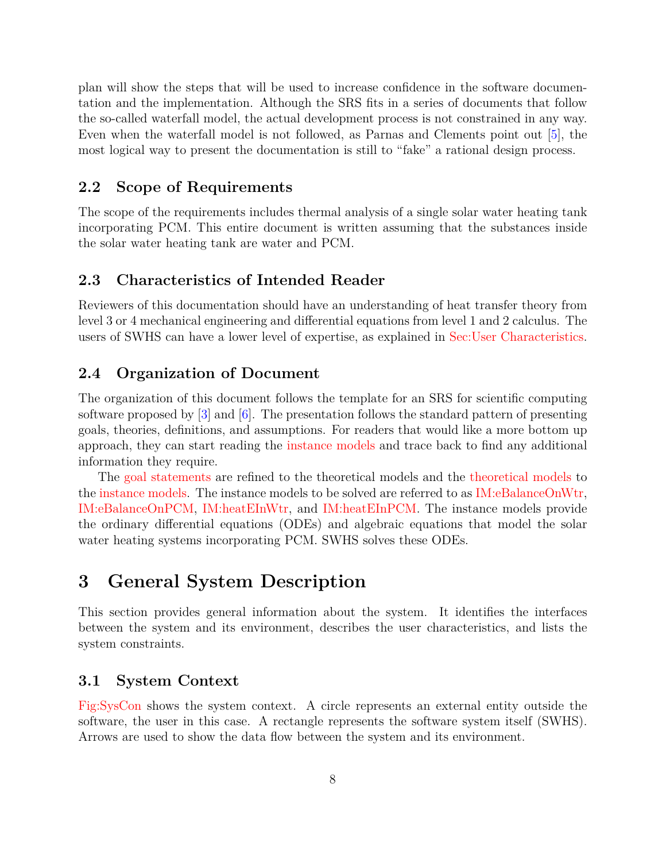plan will show the steps that will be used to increase confidence in the software documentation and the implementation. Although the SRS fits in a series of documents that follow the so-called waterfall model, the actual development process is not constrained in any way. Even when the waterfall model is not followed, as Parnas and Clements point out [\[5\]](#page-49-0), the most logical way to present the documentation is still to "fake" a rational design process.

#### <span id="page-7-0"></span>**2.2 Scope of Requirements**

The scope of the requirements includes thermal analysis of a single solar water heating tank incorporating PCM. This entire document is written assuming that the substances inside the solar water heating tank are water and PCM.

#### <span id="page-7-1"></span>**2.3 Characteristics of Intended Reader**

Reviewers of this documentation should have an understanding of heat transfer theory from level 3 or 4 mechanical engineering and differential equations from level 1 and 2 calculus. The users of SWHS can have a lower level of expertise, as explained in [Sec:User Characteristics.](#page-8-0)

#### <span id="page-7-2"></span>**2.4 Organization of Document**

The organization of this document follows the template for an SRS for scientific computing software proposed by  $\lceil 3 \rceil$  and  $\lceil 6 \rceil$ . The presentation follows the standard pattern of presenting goals, theories, definitions, and assumptions. For readers that would like a more bottom up approach, they can start reading the [instance models](#page-30-0) and trace back to find any additional information they require.

The [goal statements](#page-9-3) are refined to the theoretical models and the [theoretical models](#page-12-0) to the [instance models.](#page-30-0) The instance models to be solved are referred to as [IM:eBalanceOnWtr,](#page-32-0) [IM:eBalanceOnPCM,](#page-34-0) [IM:heatEInWtr,](#page-36-0) and [IM:heatEInPCM.](#page-37-0) The instance models provide the ordinary differential equations (ODEs) and algebraic equations that model the solar water heating systems incorporating PCM. SWHS solves these ODEs.

## <span id="page-7-3"></span>**3 General System Description**

This section provides general information about the system. It identifies the interfaces between the system and its environment, describes the user characteristics, and lists the system constraints.

#### <span id="page-7-4"></span>**3.1 System Context**

[Fig:SysCon](#page-8-3) shows the system context. A circle represents an external entity outside the software, the user in this case. A rectangle represents the software system itself (SWHS). Arrows are used to show the data flow between the system and its environment.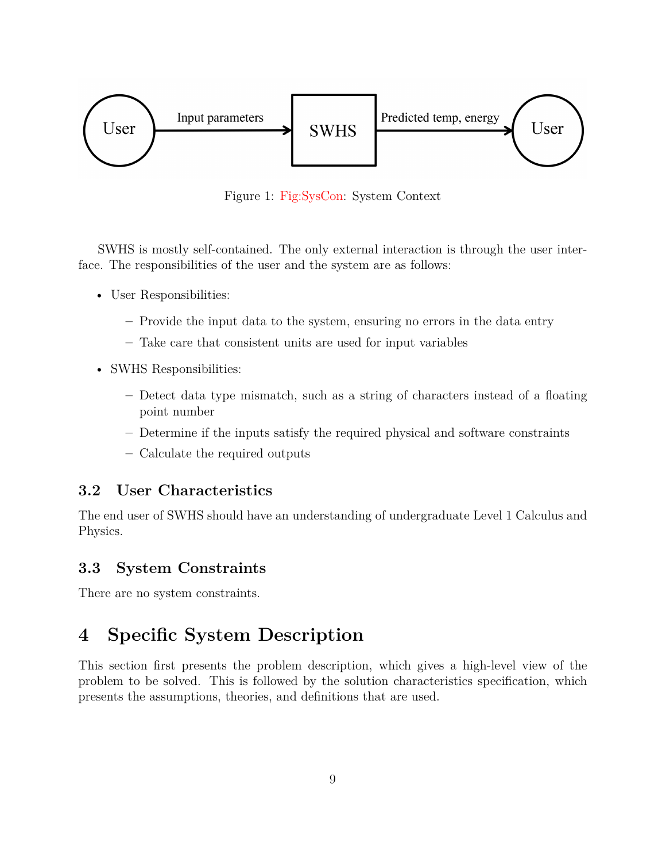<span id="page-8-3"></span>

Figure 1: [Fig:SysCon:](#page-8-3) System Context

SWHS is mostly self-contained. The only external interaction is through the user interface. The responsibilities of the user and the system are as follows:

- User Responsibilities:
	- **–** Provide the input data to the system, ensuring no errors in the data entry
	- **–** Take care that consistent units are used for input variables
- SWHS Responsibilities:
	- **–** Detect data type mismatch, such as a string of characters instead of a floating point number
	- **–** Determine if the inputs satisfy the required physical and software constraints
	- **–** Calculate the required outputs

#### <span id="page-8-0"></span>**3.2 User Characteristics**

The end user of SWHS should have an understanding of undergraduate Level 1 Calculus and Physics.

## <span id="page-8-1"></span>**3.3 System Constraints**

There are no system constraints.

# <span id="page-8-2"></span>**4 Specific System Description**

This section first presents the problem description, which gives a high-level view of the problem to be solved. This is followed by the solution characteristics specification, which presents the assumptions, theories, and definitions that are used.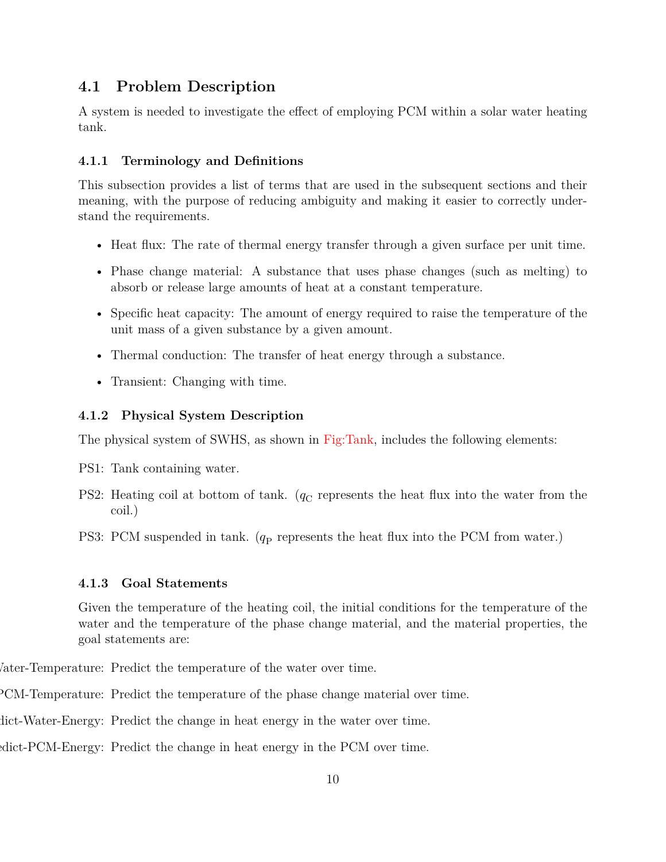## <span id="page-9-0"></span>**4.1 Problem Description**

A system is needed to investigate the effect of employing PCM within a solar water heating tank.

#### <span id="page-9-1"></span>**4.1.1 Terminology and Definitions**

This subsection provides a list of terms that are used in the subsequent sections and their meaning, with the purpose of reducing ambiguity and making it easier to correctly understand the requirements.

- Heat flux: The rate of thermal energy transfer through a given surface per unit time.
- Phase change material: A substance that uses phase changes (such as melting) to absorb or release large amounts of heat at a constant temperature.
- Specific heat capacity: The amount of energy required to raise the temperature of the unit mass of a given substance by a given amount.
- Thermal conduction: The transfer of heat energy through a substance.
- Transient: Changing with time.

#### <span id="page-9-2"></span>**4.1.2 Physical System Description**

The physical system of SWHS, as shown in [Fig:Tank,](#page-10-0) includes the following elements:

- PS1: Tank containing water.
- PS2: Heating coil at bottom of tank.  $(q_C)$  represents the heat flux into the water from the coil.)
- PS3: PCM suspended in tank. ( $q_P$  represents the heat flux into the PCM from water.)

#### <span id="page-9-3"></span>**4.1.3 Goal Statements**

<span id="page-9-5"></span><span id="page-9-4"></span>Given the temperature of the heating coil, the initial conditions for the temperature of the water and the temperature of the phase change material, and the material properties, the goal statements are:

Vater-Temperature: Predict the temperature of the water over time.

PCM-Temperature: Predict the temperature of the phase change material over time.

<span id="page-9-6"></span>dict-Water-Energy: Predict the change in heat energy in the water over time.

<span id="page-9-7"></span>edict-PCM-Energy: Predict the change in heat energy in the PCM over time.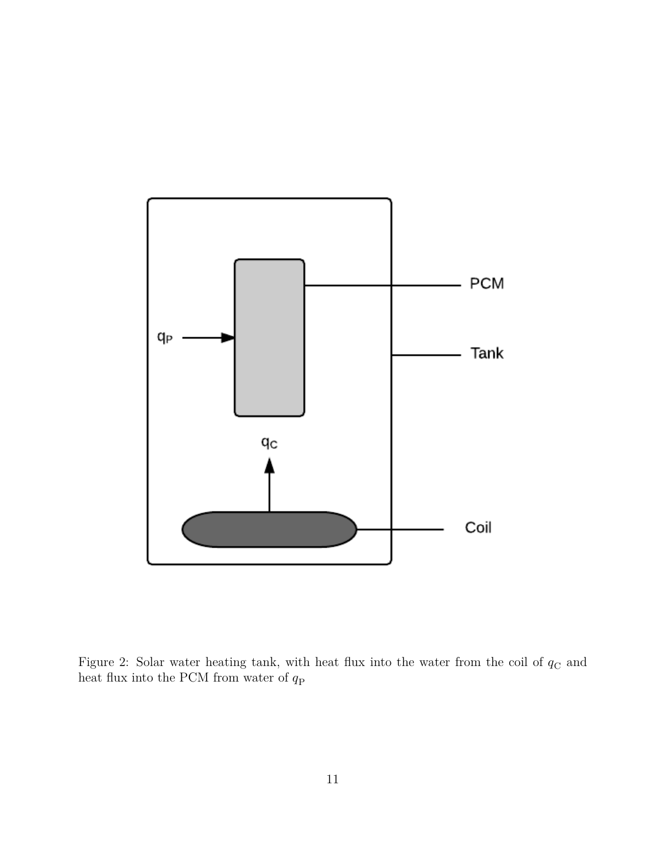<span id="page-10-0"></span>

Figure 2: Solar water heating tank, with heat flux into the water from the coil of  $q_{\rm C}$  and heat flux into the PCM from water of  $q_\mathrm{P}$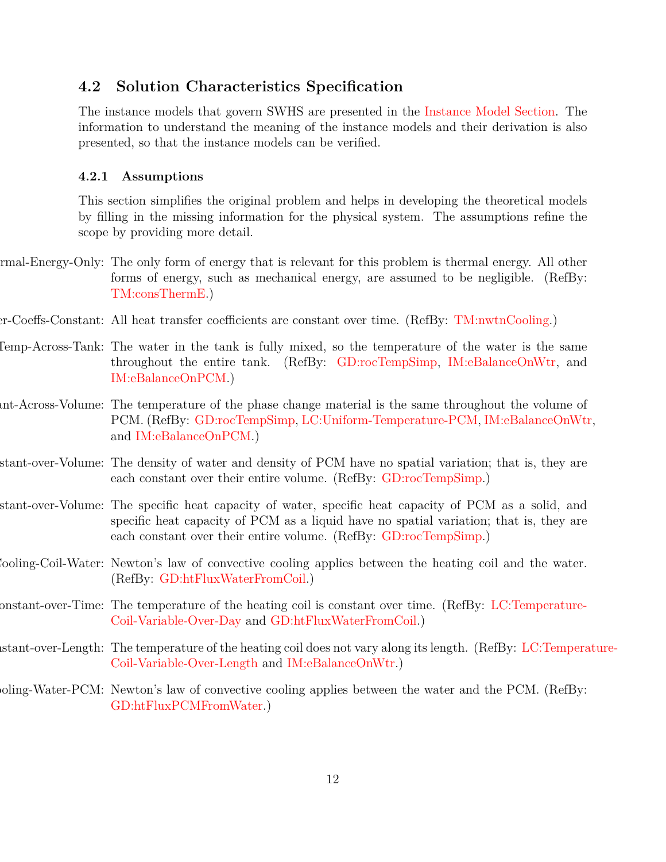#### <span id="page-11-0"></span>**4.2 Solution Characteristics Specification**

The instance models that govern SWHS are presented in the [Instance Model Section.](#page-30-0) The information to understand the meaning of the instance models and their derivation is also presented, so that the instance models can be verified.

#### <span id="page-11-1"></span>**4.2.1 Assumptions**

<span id="page-11-2"></span>This section simplifies the original problem and helps in developing the theoretical models by filling in the missing information for the physical system. The assumptions refine the scope by providing more detail.

- rmal-Energy-Only: The only form of energy that is relevant for this problem is thermal energy. All other forms of energy, such as mechanical energy, are assumed to be negligible. (RefBy: [TM:consThermE.](#page-13-0))
- <span id="page-11-3"></span>er-Coeffs-Constant: All heat transfer coefficients are constant over time. (RefBy: [TM:nwtnCooling.](#page-16-1))
- <span id="page-11-4"></span>Comp-Across-Tank: The water in the tank is fully mixed, so the temperature of the water is the same throughout the entire tank. (RefBy: [GD:rocTempSimp,](#page-17-0) [IM:eBalanceOnWtr,](#page-32-0) and [IM:eBalanceOnPCM.](#page-34-0))
- <span id="page-11-5"></span>Int-Across-Volume: The temperature of the phase change material is the same throughout the volume of PCM. (RefBy: [GD:rocTempSimp,](#page-17-0) [LC:Uniform-Temperature-PCM,](#page-42-2) [IM:eBalanceOnWtr,](#page-32-0) and [IM:eBalanceOnPCM.](#page-34-0))
- <span id="page-11-6"></span>stant-over-Volume: The density of water and density of PCM have no spatial variation; that is, they are each constant over their entire volume. (RefBy: [GD:rocTempSimp.](#page-17-0))
- <span id="page-11-7"></span>stant-over-Volume: The specific heat capacity of water, specific heat capacity of PCM as a solid, and specific heat capacity of PCM as a liquid have no spatial variation; that is, they are each constant over their entire volume. (RefBy: [GD:rocTempSimp.](#page-17-0))
- <span id="page-11-8"></span>Newton-Law-Convective-Cooling-Coil-Water: Newton's law of convective cooling applies between the heating coil and the water. (RefBy: [GD:htFluxWaterFromCoil.](#page-19-0))
- <span id="page-11-9"></span>onstant-over-Time: The temperature of the heating coil is constant over time. (RefBy: [LC:Temperature-](#page-42-3)[Coil-Variable-Over-Day](#page-42-3) and [GD:htFluxWaterFromCoil.](#page-19-0))
- <span id="page-11-11"></span>order-Length: The temperature of the heating coil does not vary along its length. (RefBy: [LC:Tempera](#page-42-4)ture-[Coil-Variable-Over-Length](#page-42-4) and [IM:eBalanceOnWtr.](#page-32-0))
- <span id="page-11-10"></span>ooling-Water-PCM: Newton's law of convective cooling applies between the water and the PCM. (RefBy: [GD:htFluxPCMFromWater.](#page-20-1))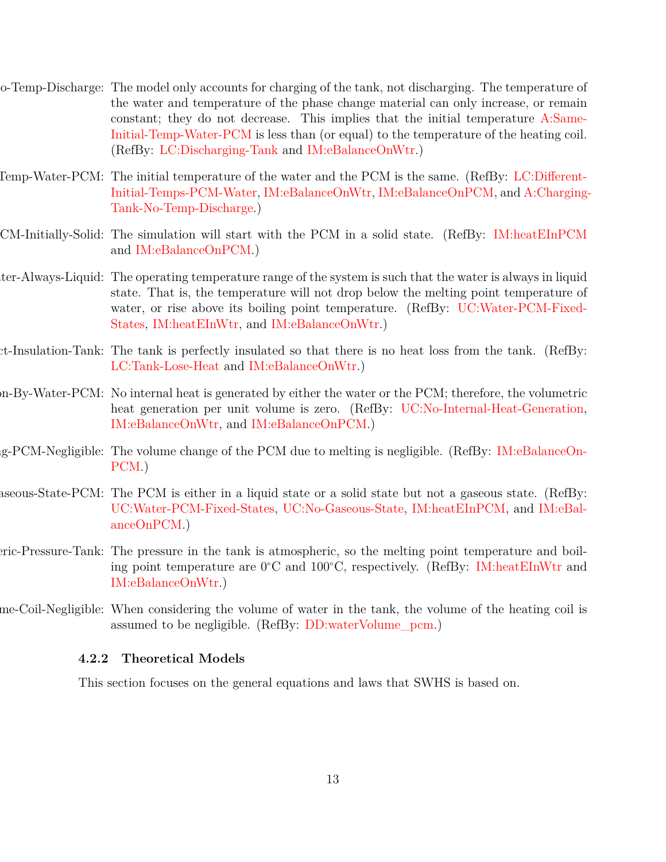- <span id="page-12-2"></span>Charging-Tank-No-Temp-Discharge: The model only accounts for charging of the tank, not discharging. The temperature of the water and temperature of the phase change material can only increase, or remain constant; they do not decrease. This implies that the initial temperature [A:Same-](#page-12-1)[Initial-Temp-Water-PCM](#page-12-1) is less than (or equal) to the temperature of the heating coil. (RefBy: [LC:Discharging-Tank](#page-42-5) and [IM:eBalanceOnWtr.](#page-32-0))
- <span id="page-12-1"></span>Iemp-Water-PCM: The initial temperature of the water and the PCM is the same. (RefBy: [LC:Different-](#page-42-6)[Initial-Temps-PCM-Water,](#page-42-6) [IM:eBalanceOnWtr,](#page-32-0) [IM:eBalanceOnPCM,](#page-34-0) and [A:Charging-](#page-12-2)[Tank-No-Temp-Discharge.](#page-12-2))
- <span id="page-12-8"></span>PCM-Initially-Solid: The simulation will start with the PCM in a solid state. (RefBy: [IM:heatEInPCM](#page-37-0) and [IM:eBalanceOnPCM.](#page-34-0))
- <span id="page-12-4"></span>ter-Always-Liquid: The operating temperature range of the system is such that the water is always in liquid state. That is, the temperature will not drop below the melting point temperature of water, or rise above its boiling point temperature. (RefBy: [UC:Water-PCM-Fixed-](#page-42-7)[States,](#page-42-7) [IM:heatEInWtr,](#page-36-0) and [IM:eBalanceOnWtr.](#page-32-0))
- <span id="page-12-6"></span>Perfect-Insulation-Tank: The tank is perfectly insulated so that there is no heat loss from the tank. (RefBy: [LC:Tank-Lose-Heat](#page-42-8) and [IM:eBalanceOnWtr.](#page-32-0))
- <span id="page-12-7"></span>n-By-Water-PCM: No internal heat is generated by either the water or the PCM; therefore, the volumetric heat generation per unit volume is zero. (RefBy: [UC:No-Internal-Heat-Generation,](#page-42-9) [IM:eBalanceOnWtr,](#page-32-0) and [IM:eBalanceOnPCM.](#page-34-0))
- <span id="page-12-9"></span>Volume-Change-Melting-PCM-Negligible: The volume change of the PCM due to melting is negligible. (RefBy: [IM:eBalanceOn-](#page-34-0)[PCM.](#page-34-0))
- <span id="page-12-10"></span>aseous-State-PCM: The PCM is either in a liquid state or a solid state but not a gaseous state. (RefBy: [UC:Water-PCM-Fixed-States,](#page-42-7) [UC:No-Gaseous-State,](#page-42-10) [IM:heatEInPCM,](#page-37-0) and [IM:eBal](#page-34-0)[anceOnPCM.](#page-34-0))
- <span id="page-12-5"></span>Atmospheric-Pressure-Tank: The pressure in the tank is atmospheric, so the melting point temperature and boiling point temperature are 0<sup>∘</sup>C and 100<sup>∘</sup>C, respectively. (RefBy: [IM:heatEInWtr](#page-36-0) and [IM:eBalanceOnWtr.](#page-32-0))
- me-Coil-Negligible: When considering the volume of water in the tank, the volume of the heating coil is assumed to be negligible. (RefBy: [DD:waterVolume\\_pcm.](#page-22-0))

#### <span id="page-12-3"></span><span id="page-12-0"></span>**4.2.2 Theoretical Models**

This section focuses on the general equations and laws that SWHS is based on.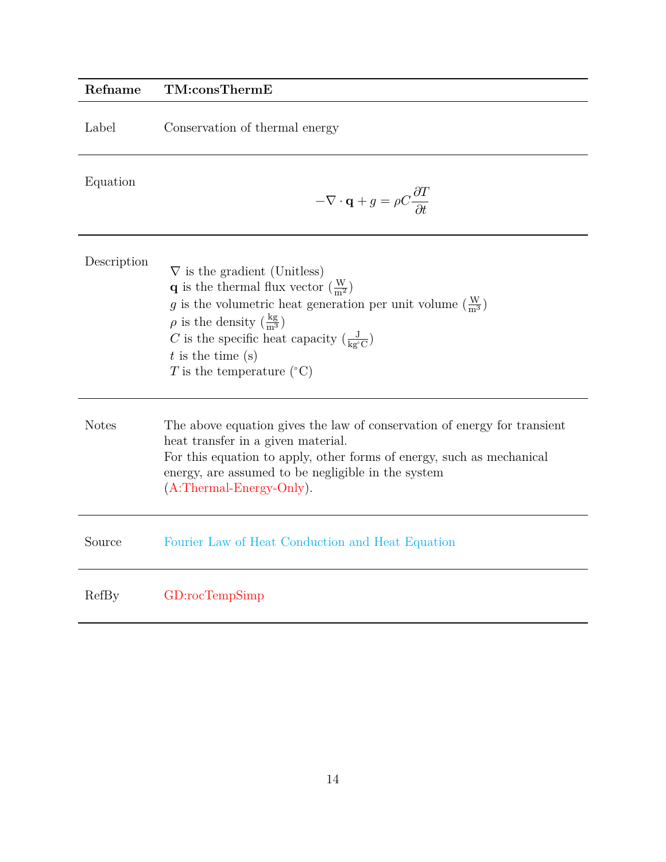<span id="page-13-0"></span>

| Refname      | TM:consThermE                                                                                                                                                                                                                                                                                                                                                                                           |
|--------------|---------------------------------------------------------------------------------------------------------------------------------------------------------------------------------------------------------------------------------------------------------------------------------------------------------------------------------------------------------------------------------------------------------|
| Label        | Conservation of thermal energy                                                                                                                                                                                                                                                                                                                                                                          |
| Equation     | $-\nabla \cdot \mathbf{q} + g = \rho C \frac{\partial T}{\partial t}$                                                                                                                                                                                                                                                                                                                                   |
| Description  | $\nabla$ is the gradient (Unitless)<br><b>q</b> is the thermal flux vector $\left(\frac{W}{m^2}\right)$<br>g is the volumetric heat generation per unit volume $\left(\frac{w}{m^3}\right)$<br>$\rho$ is the density $\left(\frac{kg}{m^3}\right)$<br>C is the specific heat capacity $\left(\frac{J}{\text{kg}^{\circ}\text{C}}\right)$<br>$t$ is the time (s)<br>T is the temperature $({}^{\circ}C)$ |
| <b>Notes</b> | The above equation gives the law of conservation of energy for transient<br>heat transfer in a given material.<br>For this equation to apply, other forms of energy, such as mechanical<br>energy, are assumed to be negligible in the system<br>$(A:Thermal-Energy-Only).$                                                                                                                             |
| Source       | Fourier Law of Heat Conduction and Heat Equation                                                                                                                                                                                                                                                                                                                                                        |
| RefBy        | GD:rocTempSimp                                                                                                                                                                                                                                                                                                                                                                                          |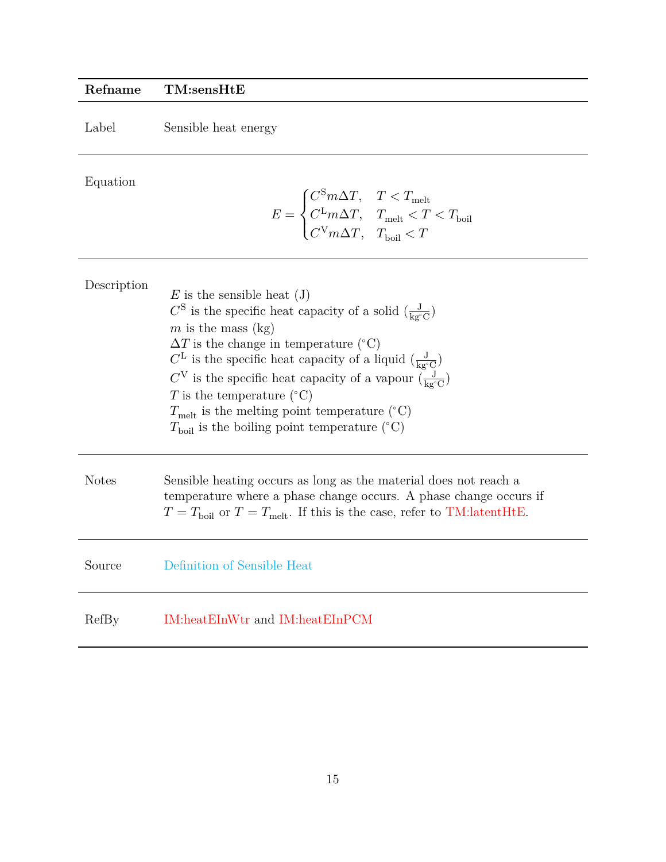## **Refname TM:sensHtE**

Label Sensible heat energy

Equation

<span id="page-14-0"></span>
$$
E = \begin{cases} C^\text{S} m \Delta T, & T < T_\text{melt} \\ C^\text{L} m \Delta T, & T_\text{melt} < T < T_\text{boil} \\ C^\text{V} m \Delta T, & T_\text{boil} < T \end{cases}
$$

| Description  | $E$ is the sensible heat (J)<br>$C^{S}$ is the specific heat capacity of a solid $\left(\frac{J}{\text{ke}^{c}C}\right)$<br>m is the mass $(kg)$<br>$\Delta T$ is the change in temperature (°C)<br>$C^{\rm L}$ is the specific heat capacity of a liquid $\left(\frac{\rm J}{\rm kg^{\circ}C}\right)$<br>$C^V$ is the specific heat capacity of a vapour $\left(\frac{J}{\text{ke}^{\circ}\text{C}}\right)$<br>T is the temperature $({}^{\circ}C)$<br>$T_{\text{melt}}$ is the melting point temperature (°C)<br>$T_{\text{boil}}$ is the boiling point temperature (°C) |
|--------------|----------------------------------------------------------------------------------------------------------------------------------------------------------------------------------------------------------------------------------------------------------------------------------------------------------------------------------------------------------------------------------------------------------------------------------------------------------------------------------------------------------------------------------------------------------------------------|
| <b>Notes</b> | Sensible heating occurs as long as the material does not reach a<br>temperature where a phase change occurs. A phase change occurs if<br>$T = T_{\text{hoil}}$ or $T = T_{\text{melt}}$ . If this is the case, refer to TM:latentHtE.                                                                                                                                                                                                                                                                                                                                      |
| Source       | Definition of Sensible Heat                                                                                                                                                                                                                                                                                                                                                                                                                                                                                                                                                |
| RefBy        | IM:heatEInWtr and IM:heatEInPCM                                                                                                                                                                                                                                                                                                                                                                                                                                                                                                                                            |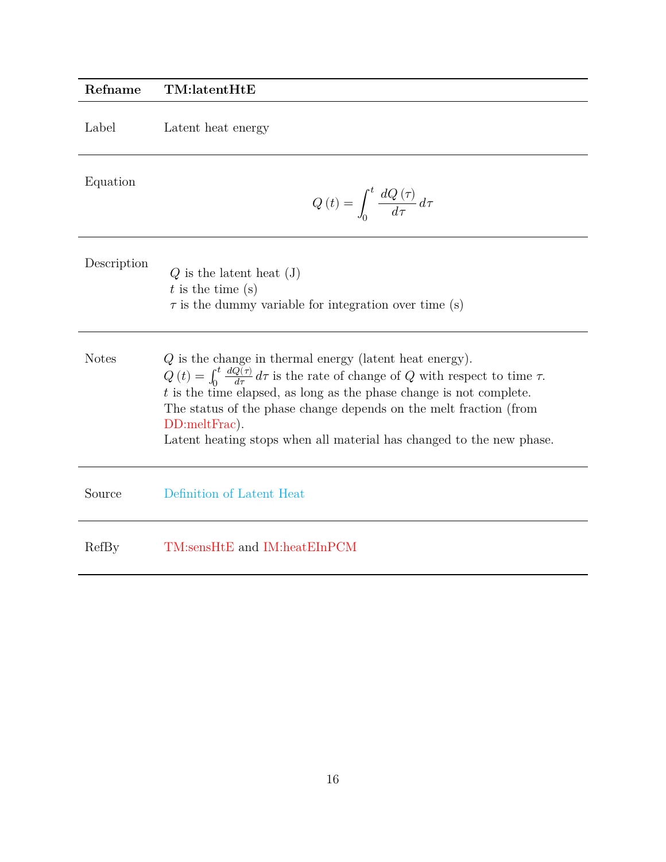<span id="page-15-0"></span>

| Refname      | TM:latentHtE                                                                                                                                                                                                                                                                                                                                                                                                |
|--------------|-------------------------------------------------------------------------------------------------------------------------------------------------------------------------------------------------------------------------------------------------------------------------------------------------------------------------------------------------------------------------------------------------------------|
| Label        | Latent heat energy                                                                                                                                                                                                                                                                                                                                                                                          |
| Equation     | $Q\left(t\right)=\int_{0}^{t}\frac{dQ\left(\tau\right)}{d\tau}d\tau$                                                                                                                                                                                                                                                                                                                                        |
| Description  | $Q$ is the latent heat $(J)$<br>$t$ is the time (s)<br>$\tau$ is the dummy variable for integration over time (s)                                                                                                                                                                                                                                                                                           |
| <b>Notes</b> | $Q$ is the change in thermal energy (latent heat energy).<br>$Q(t) = \int_0^t \frac{dQ(\tau)}{d\tau} d\tau$ is the rate of change of Q with respect to time $\tau$ .<br>$t$ is the time elapsed, as long as the phase change is not complete.<br>The status of the phase change depends on the melt fraction (from<br>DD:meltFrac).<br>Latent heating stops when all material has changed to the new phase. |
| Source       | Definition of Latent Heat                                                                                                                                                                                                                                                                                                                                                                                   |
| RefBy        | TM:sensHtE and IM:heatEInPCM                                                                                                                                                                                                                                                                                                                                                                                |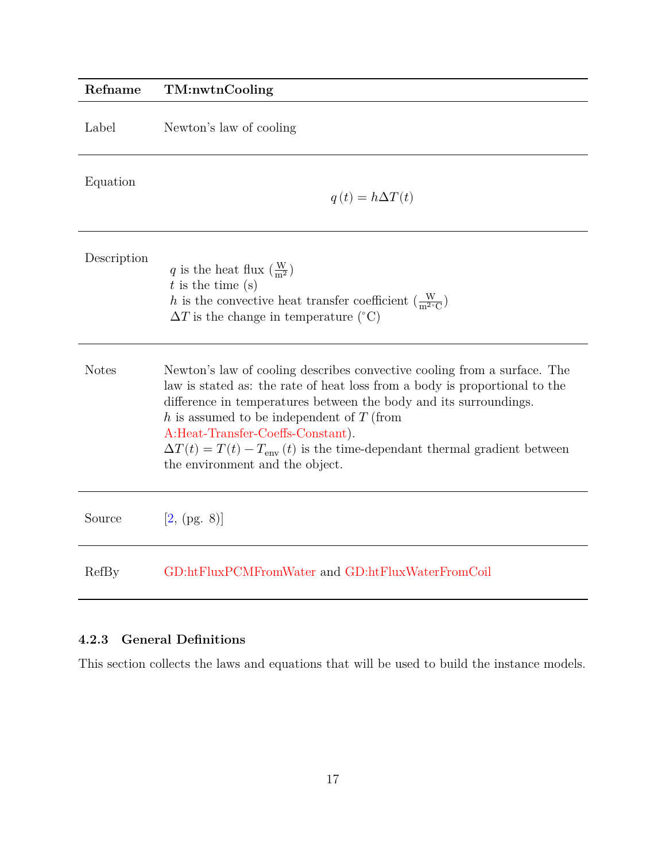<span id="page-16-1"></span>

| Refname      | TM:nwtnCooling                                                                                                                                                                                                                                                                                                                                                                                                                                |
|--------------|-----------------------------------------------------------------------------------------------------------------------------------------------------------------------------------------------------------------------------------------------------------------------------------------------------------------------------------------------------------------------------------------------------------------------------------------------|
| Label        | Newton's law of cooling                                                                                                                                                                                                                                                                                                                                                                                                                       |
| Equation     | $q(t) = h\Delta T(t)$                                                                                                                                                                                                                                                                                                                                                                                                                         |
| Description  | q is the heat flux $\left(\frac{W}{m^2}\right)$<br>$t$ is the time (s)<br>h is the convective heat transfer coefficient $\left(\frac{W}{m^2 C}\right)$<br>$\Delta T$ is the change in temperature (°C)                                                                                                                                                                                                                                        |
| <b>Notes</b> | Newton's law of cooling describes convective cooling from a surface. The<br>law is stated as: the rate of heat loss from a body is proportional to the<br>difference in temperatures between the body and its surroundings.<br>h is assumed to be independent of $T$ (from<br>A:Heat-Transfer-Coeffs-Constant).<br>$\Delta T(t) = T(t) - T_{\text{env}}(t)$ is the time-dependant thermal gradient between<br>the environment and the object. |
| Source       | [2, (pg. 8)]                                                                                                                                                                                                                                                                                                                                                                                                                                  |
| RefBy        | GD:htFluxPCMFromWater and GD:htFluxWaterFromCoil                                                                                                                                                                                                                                                                                                                                                                                              |

## <span id="page-16-0"></span>**4.2.3 General Definitions**

This section collects the laws and equations that will be used to build the instance models.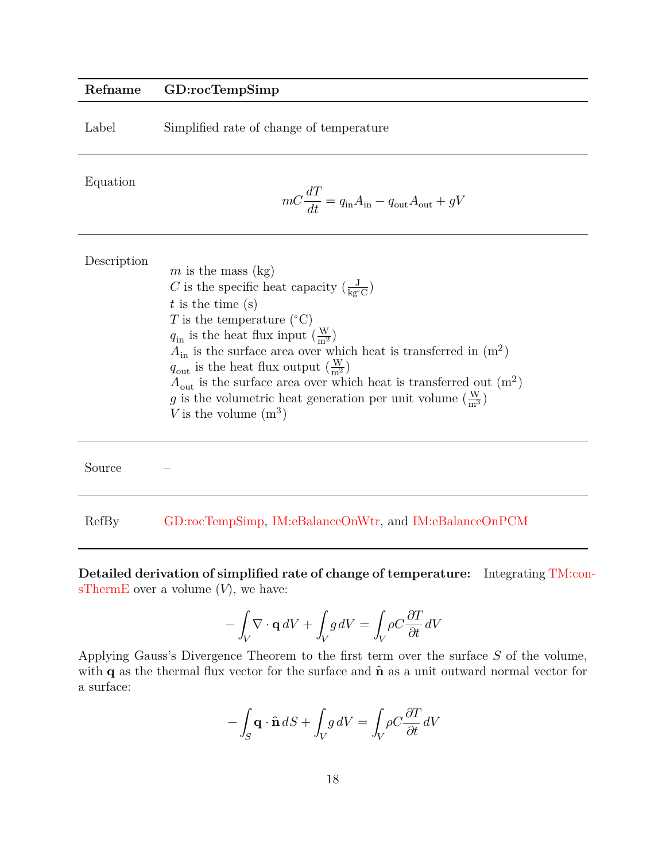#### **Refname GD:rocTempSimp**

| Label | Simplified rate of change of temperature |  |  |
|-------|------------------------------------------|--|--|
|       |                                          |  |  |

Equation

<span id="page-17-0"></span>
$$
mC\frac{dT}{dt}=q_{\rm in}A_{\rm in}-q_{\rm out}A_{\rm out}+gV
$$

| m is the mass $(kg)$                                                            |
|---------------------------------------------------------------------------------|
| C is the specific heat capacity $\left(\frac{J}{k g^{\circ} C}\right)$          |
| $t$ is the time (s)                                                             |
| T is the temperature $({}^{\circ}C)$                                            |
| $q_{\rm in}$ is the heat flux input $(\frac{W}{m^2})$                           |
| $A_{\rm in}$ is the surface area over which heat is transferred in $(m^2)$      |
| $q_{\text{out}}$ is the heat flux output $\left(\frac{W}{m^2}\right)$           |
| $A_{\text{out}}$ is the surface area over which heat is transferred out $(m^2)$ |
| g is the volumetric heat generation per unit volume $(\frac{W}{m^3})$           |
| V is the volume $(m^3)$                                                         |
|                                                                                 |

Source – RefBy [GD:rocTempSimp,](#page-17-0) [IM:eBalanceOnWtr,](#page-32-0) and [IM:eBalanceOnPCM](#page-34-0)

**Detailed derivation of simplified rate of change of temperature:** Integrating [TM:con](#page-13-0)[sThermE](#page-13-0) over a volume  $(V)$ , we have:

$$
-\int_{V} \nabla \cdot \mathbf{q} \, dV + \int_{V} g \, dV = \int_{V} \rho C \frac{\partial T}{\partial t} \, dV
$$

Applying Gauss's Divergence Theorem to the first term over the surface  $S$  of the volume, with  $q$  as the thermal flux vector for the surface and  $\hat{n}$  as a unit outward normal vector for a surface:

$$
-\int_{S} \mathbf{q} \cdot \hat{\mathbf{n}} dS + \int_{V} g dV = \int_{V} \rho C \frac{\partial T}{\partial t} dV
$$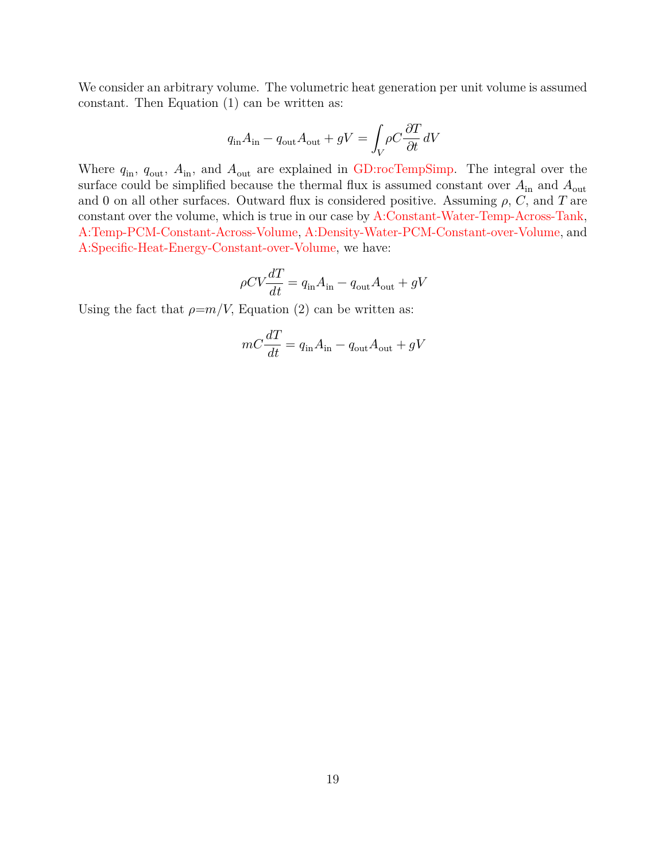We consider an arbitrary volume. The volumetric heat generation per unit volume is assumed constant. Then Equation (1) can be written as:

$$
q_{\rm in} A_{\rm in} - q_{\rm out} A_{\rm out} + gV = \int_{V} \rho C \frac{\partial T}{\partial t} dV
$$

Where  $q_{\text{in}}$ ,  $q_{\text{out}}$ ,  $A_{\text{in}}$ , and  $A_{\text{out}}$  are explained in [GD:rocTempSimp.](#page-17-0) The integral over the surface could be simplified because the thermal flux is assumed constant over  $A_{\text{in}}$  and  $A_{\text{out}}$ and 0 on all other surfaces. Outward flux is considered positive. Assuming  $\rho$ ,  $C$ , and  $T$  are constant over the volume, which is true in our case by [A:Constant-Water-Temp-Across-Tank,](#page-11-4) [A:Temp-PCM-Constant-Across-Volume,](#page-11-5) [A:Density-Water-PCM-Constant-over-Volume,](#page-11-6) and [A:Specific-Heat-Energy-Constant-over-Volume,](#page-11-7) we have:

$$
\rho CV \frac{dT}{dt} = q_{\rm in} A_{\rm in} - q_{\rm out} A_{\rm out} + gV
$$

Using the fact that  $\rho=m/V$ , Equation (2) can be written as:

$$
mC\frac{dT}{dt} = q_{\rm in}A_{\rm in} - q_{\rm out}A_{\rm out} + gV
$$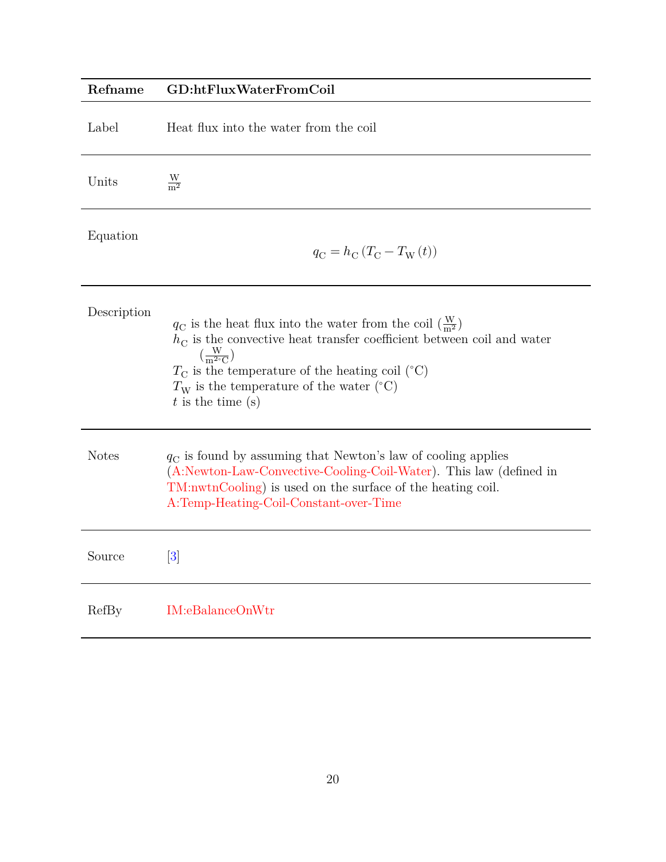# <span id="page-19-0"></span>**Refname GD:htFluxWaterFromCoil** Label Heat flux into the water from the coil Units  $\frac{\text{W}}{\text{m}^2}$ Equation  $q_{\rm C} = h_{\rm C} \left( T_{\rm C} - T_{\rm W} \left( t \right) \right)$ Description  $q_{\rm C}$  is the heat flux into the water from the coil  $(\frac{W}{m^2})$  $h<sub>C</sub>$  is the convective heat transfer coefficient between coil and water  $\left(\frac{W}{m^{2}}\right)$  $\frac{W}{m^{2\circ}C}$  $T_{\rm C}$  is the temperature of the heating coil (°C)  $T_{\rm W}$  is the temperature of the water (°C)  $t$  is the time  $(s)$ Notes  $q_C$  is found by assuming that Newton's law of cooling applies [\(A:Newton-Law-Convective-Cooling-Coil-Water\)](#page-11-8). This law (defined in [TM:nwtnCooling\)](#page-16-1) is used on the surface of the heating coil. [A:Temp-Heating-Coil-Constant-over-Time](#page-11-9) Source [\[3\]](#page-49-1) RefBy [IM:eBalanceOnWtr](#page-32-0)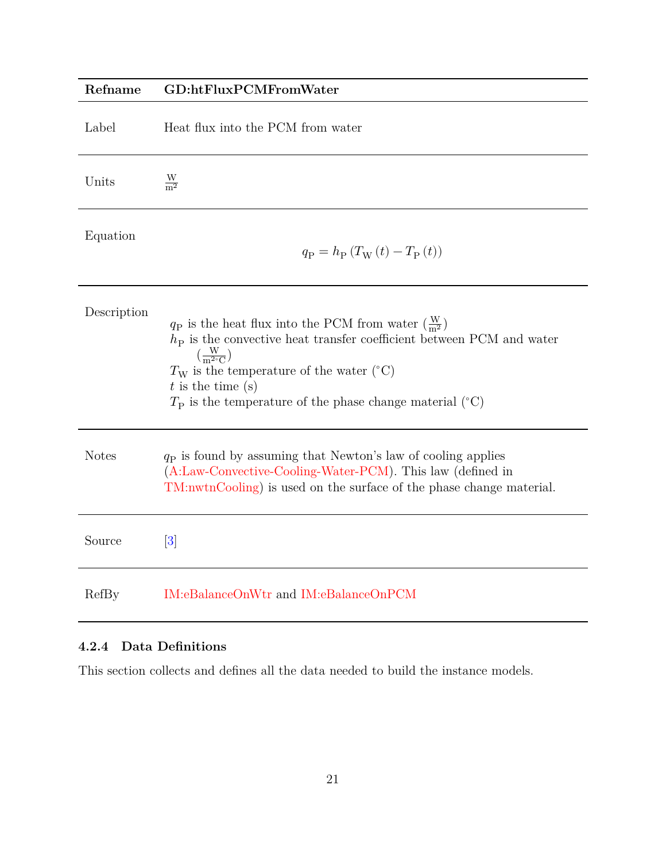<span id="page-20-1"></span>

| Refname      | GD:htFluxPCMFromWater                                                                                                                                                                                                                                                                                                                          |
|--------------|------------------------------------------------------------------------------------------------------------------------------------------------------------------------------------------------------------------------------------------------------------------------------------------------------------------------------------------------|
| Label        | Heat flux into the PCM from water                                                                                                                                                                                                                                                                                                              |
| Units        | $\frac{W}{m^2}$                                                                                                                                                                                                                                                                                                                                |
| Equation     | $q_{\rm P} = h_{\rm P} (T_{\rm W}(t) - T_{\rm P}(t))$                                                                                                                                                                                                                                                                                          |
| Description  | $q_P$ is the heat flux into the PCM from water $\left(\frac{W}{m^2}\right)$<br>$hP$ is the convective heat transfer coefficient between PCM and water<br>$\left(\frac{W}{m^{2\circ}C}\right)$<br>$T_{\rm W}$ is the temperature of the water (°C)<br>$t$ is the time $(s)$<br>$T_{\rm P}$ is the temperature of the phase change material (°C) |
| <b>Notes</b> | $qP$ is found by assuming that Newton's law of cooling applies<br>(A:Law-Convective-Cooling-Water-PCM). This law (defined in<br>TM:nwtnCooling) is used on the surface of the phase change material.                                                                                                                                           |
| Source       | $\left\lceil 3 \right\rceil$                                                                                                                                                                                                                                                                                                                   |
| RefBy        | IM:eBalanceOnWtr and IM:eBalanceOnPCM                                                                                                                                                                                                                                                                                                          |

## <span id="page-20-0"></span>**4.2.4 Data Definitions**

This section collects and defines all the data needed to build the instance models.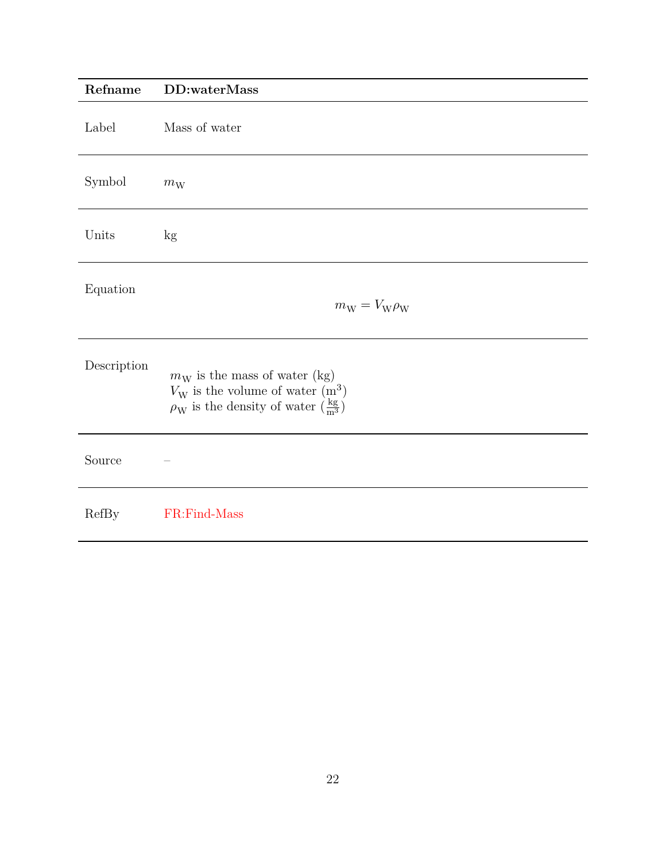<span id="page-21-0"></span>

| Refname      | DD:waterMass                                                                                                                                             |
|--------------|----------------------------------------------------------------------------------------------------------------------------------------------------------|
| Label        | Mass of water                                                                                                                                            |
| Symbol       | $m_{\rm W}$                                                                                                                                              |
| Units        | kg                                                                                                                                                       |
| Equation     | $m_{\rm W} = V_{\rm W} \rho_{\rm W}$                                                                                                                     |
| Description  | $m_W$ is the mass of water (kg)<br>$V_{\rm W}$ is the volume of water $(m^3)$<br>$\rho_{\rm W}$ is the density of water $(\frac{\text{kg}}{\text{m}^3})$ |
| Source       |                                                                                                                                                          |
| <b>RefBy</b> | FR:Find-Mass                                                                                                                                             |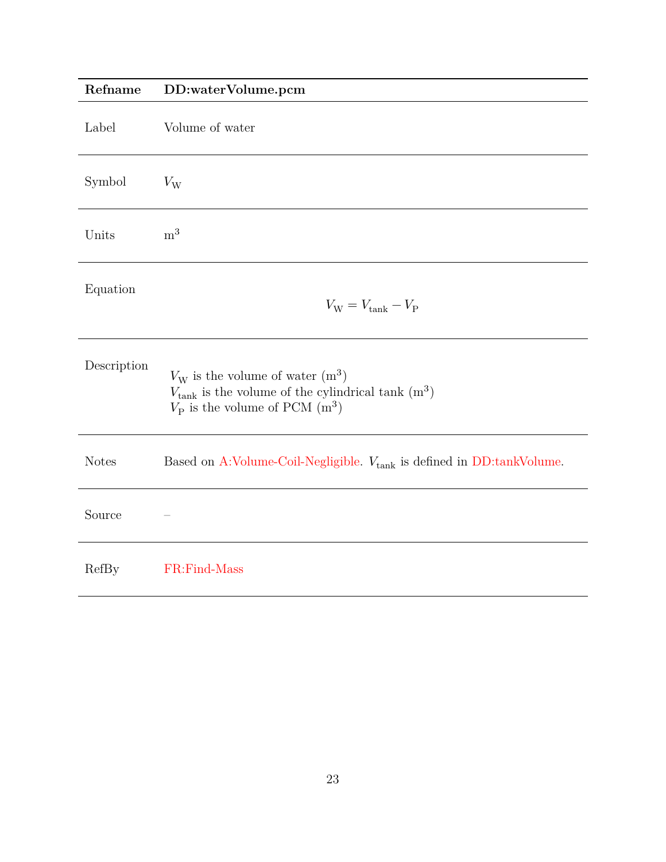<span id="page-22-0"></span>

| Refname      | DD:waterVolume.pcm                                                                                                                                   |
|--------------|------------------------------------------------------------------------------------------------------------------------------------------------------|
| Label        | Volume of water                                                                                                                                      |
| Symbol       | $V_{\rm W}$                                                                                                                                          |
| Units        | m <sup>3</sup>                                                                                                                                       |
| Equation     | $V_{\text{W}} = V_{\text{tank}} - V_{\text{P}}$                                                                                                      |
| Description  | $V_{\rm W}$ is the volume of water $(m^3)$<br>$V_{\rm tank}$ is the volume of the cylindrical tank $\rm (m^3)$<br>$V_P$ is the volume of PCM $(m^3)$ |
| <b>Notes</b> | Based on A:Volume-Coil-Negligible. $V_{\rm tank}$ is defined in DD:tankVolume.                                                                       |
| Source       |                                                                                                                                                      |
| RefBy        | FR:Find-Mass                                                                                                                                         |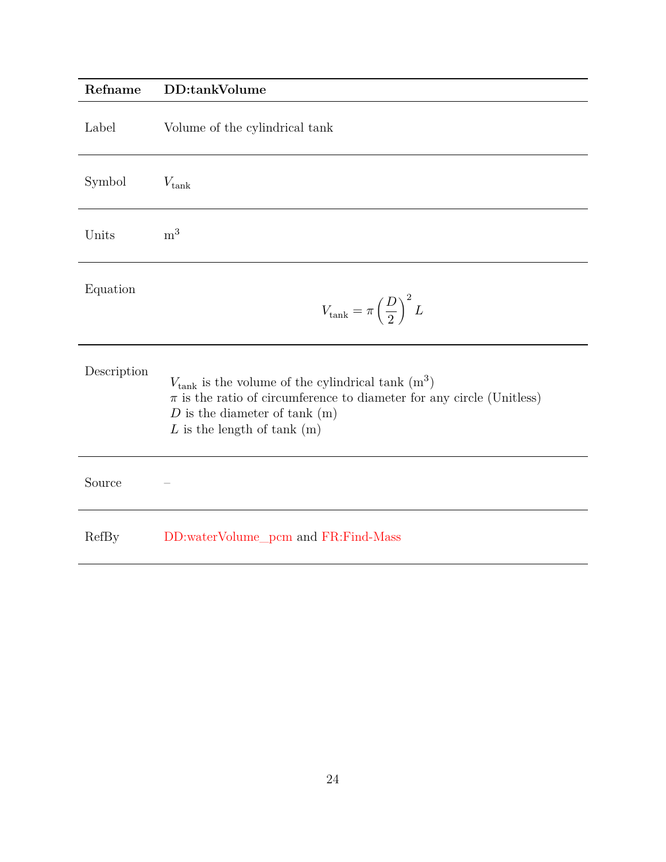## <span id="page-23-0"></span>**Refname DD:tankVolume**

| Label       | Volume of the cylindrical tank                                                                                                                                                                                       |
|-------------|----------------------------------------------------------------------------------------------------------------------------------------------------------------------------------------------------------------------|
| Symbol      | $V_{\rm tank}$                                                                                                                                                                                                       |
| Units       | m <sup>3</sup>                                                                                                                                                                                                       |
| Equation    | $V_{\rm tank} = \pi \left(\frac{D}{2}\right)^2 L$                                                                                                                                                                    |
| Description | $V_{\text{tank}}$ is the volume of the cylindrical tank $(m^3)$<br>$\pi$ is the ratio of circumference to diameter for any circle (Unitless)<br>$D$ is the diameter of tank $(m)$<br>$L$ is the length of tank $(m)$ |
| Source      |                                                                                                                                                                                                                      |
| RefBy       | DD:waterVolume_pcm and FR:Find-Mass                                                                                                                                                                                  |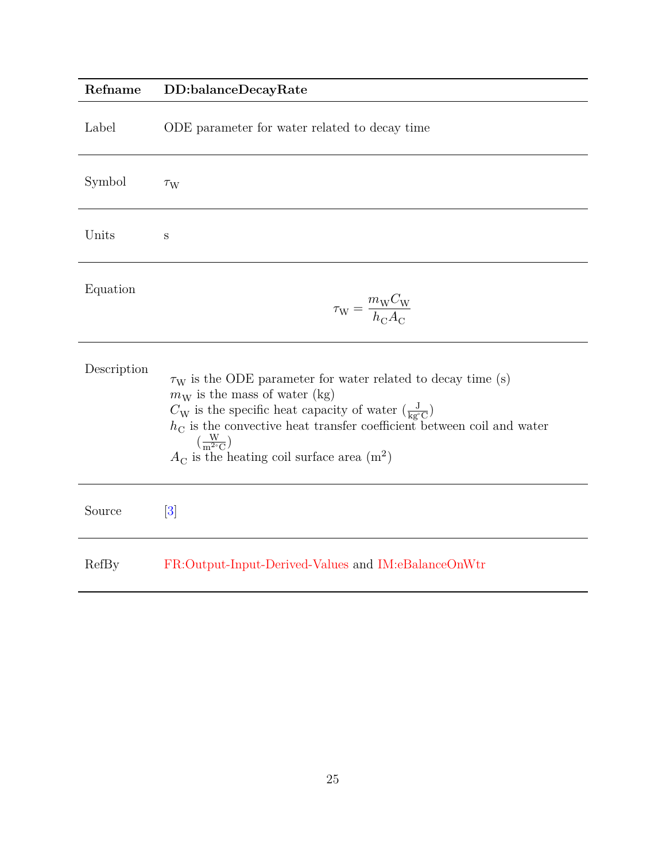## <span id="page-24-0"></span>**Refname DD:balanceDecayRate**

| Label       | ODE parameter for water related to decay time                                                                                                                                                                                                                                                                                                                                                 |
|-------------|-----------------------------------------------------------------------------------------------------------------------------------------------------------------------------------------------------------------------------------------------------------------------------------------------------------------------------------------------------------------------------------------------|
| Symbol      | $\tau_{\rm W}$                                                                                                                                                                                                                                                                                                                                                                                |
| Units       | S                                                                                                                                                                                                                                                                                                                                                                                             |
| Equation    | $\tau_{\rm W} = \frac{m_{\rm W} C_{\rm W}}{h_{\rm C} A_{\rm C}}$                                                                                                                                                                                                                                                                                                                              |
| Description | $\tau_{\rm W}$ is the ODE parameter for water related to decay time (s)<br>$m_W$ is the mass of water (kg)<br>$C_{\rm W}$ is the specific heat capacity of water $(\frac{J}{\text{ke}^{\circ}\text{C}})$<br>$hC$ is the convective heat transfer coefficient between coil and water<br>$\left(\frac{W}{m^{2\circ}C}\right)$<br>$A_{\rm C}$ is the heating coil surface area (m <sup>2</sup> ) |
| Source      | $\left\lceil 3 \right\rceil$                                                                                                                                                                                                                                                                                                                                                                  |
| RefBy       | FR:Output-Input-Derived-Values and IM:eBalanceOnWtr                                                                                                                                                                                                                                                                                                                                           |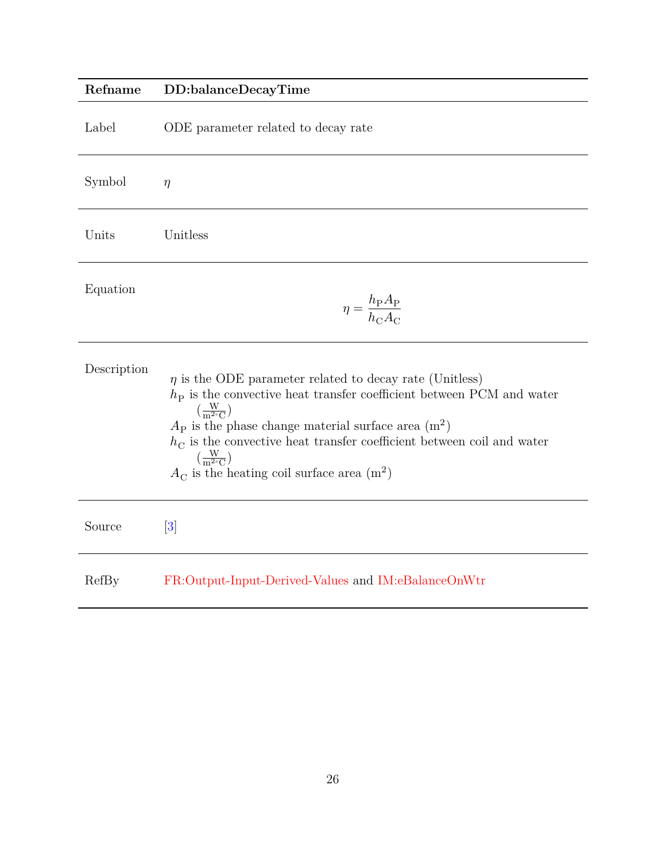<span id="page-25-0"></span>

| Refname     | DD:balanceDecayTime                                                                                                                                                                                                                                                                                                                                                                                                                         |
|-------------|---------------------------------------------------------------------------------------------------------------------------------------------------------------------------------------------------------------------------------------------------------------------------------------------------------------------------------------------------------------------------------------------------------------------------------------------|
| Label       | ODE parameter related to decay rate                                                                                                                                                                                                                                                                                                                                                                                                         |
| Symbol      | $\eta$                                                                                                                                                                                                                                                                                                                                                                                                                                      |
| Units       | Unitless                                                                                                                                                                                                                                                                                                                                                                                                                                    |
| Equation    | $\eta = \frac{h_{\rm P} A_{\rm P}}{h_{\rm C} A_{\rm C}}$                                                                                                                                                                                                                                                                                                                                                                                    |
| Description | $\eta$ is the ODE parameter related to decay rate (Unitless)<br>$hP$ is the convective heat transfer coefficient between PCM and water<br>$\left(\frac{W}{m^{2\circ}C}\right)$<br>$A_{\rm P}$ is the phase change material surface area $(m^2)$<br>$h_{\rm C}$ is the convective heat transfer coefficient between coil and water<br>$\left(\frac{W}{m^{2\circ}C}\right)$<br>$A_{\rm C}$ is the heating coil surface area (m <sup>2</sup> ) |
| Source      | $\left[3\right]$                                                                                                                                                                                                                                                                                                                                                                                                                            |
| RefBy       | FR:Output-Input-Derived-Values and IM:eBalanceOnWtr                                                                                                                                                                                                                                                                                                                                                                                         |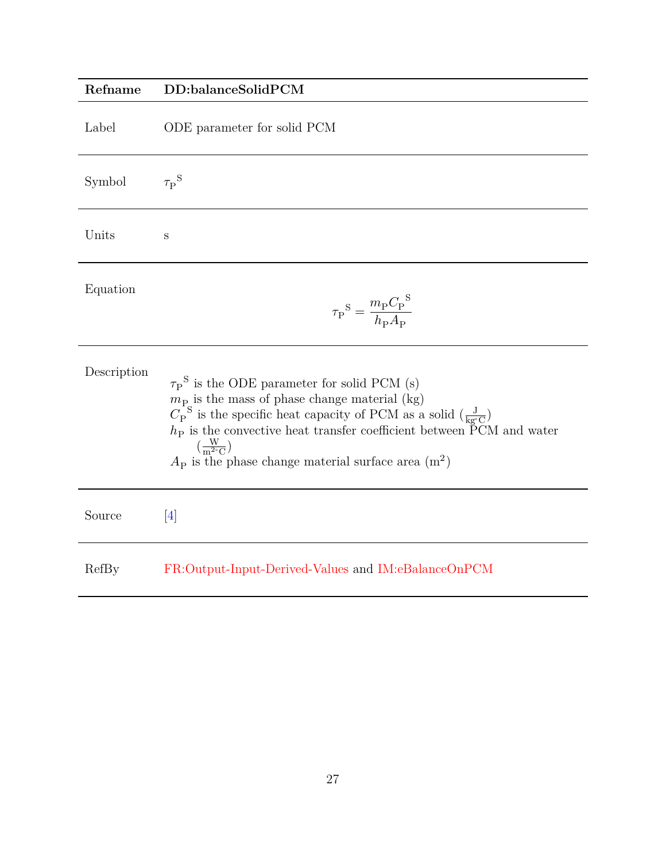# <span id="page-26-0"></span>**Refname DD:balanceSolidPCM** Label ODE parameter for solid PCM Symbol  $\tau_{\rm P}^{\phantom{S}}$ Units s Equation  $\tau_{\text{P}}^{\text{S}} = \frac{m_{\text{P}} C_{\text{P}}^{\text{S}}}{\frac{h}{\hbar} A}$  $h_{\mathrm{P}}A_{\mathrm{P}}$ Description  ${\tau_\text{P}}^\text{S}$  is the ODE parameter for solid PCM (s)  $m_{P_{\alpha}}$  is the mass of phase change material (kg)  $C_{\rm P}^{\rm S}$  is the specific heat capacity of PCM as a solid  $(\frac{\rm J}{\rm kg^{\circ}C})$  $h<sub>P</sub>$  is the convective heat transfer coefficient between  $\rm \tilde{P}CM$  and water  $\left(\frac{W}{m^{2}}\right)$  $\frac{W}{m^{2} \circ C}$  $A<sub>P</sub>$  is the phase change material surface area  $(m<sup>2</sup>)$ Source [\[4\]](#page-49-3) RefBy [FR:Output-Input-Derived-Values](#page-40-3) and [IM:eBalanceOnPCM](#page-34-0)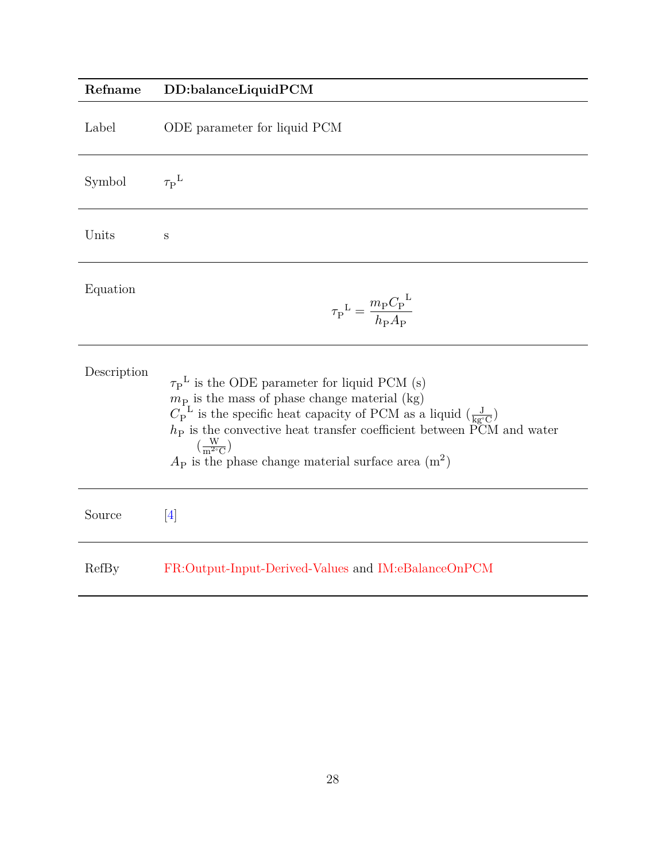# <span id="page-27-0"></span>**Refname DD:balanceLiquidPCM**

| Label       | ODE parameter for liquid PCM                                                                                                                                                                                                                                                                                                                                                                                              |
|-------------|---------------------------------------------------------------------------------------------------------------------------------------------------------------------------------------------------------------------------------------------------------------------------------------------------------------------------------------------------------------------------------------------------------------------------|
| Symbol      | $\tau_{\rm P}^{\rm \; L}$                                                                                                                                                                                                                                                                                                                                                                                                 |
| Units       | S                                                                                                                                                                                                                                                                                                                                                                                                                         |
| Equation    | $\tau_{\rm P}^{\ \rm L} = \frac{m_{\rm P} C_{\rm P}^{\ \rm L}}{h_{\rm P} A_{\rm P}}$                                                                                                                                                                                                                                                                                                                                      |
| Description | $\tau_{\rm P}^{\rm L}$ is the ODE parameter for liquid PCM (s)<br>$m_{\rm P}$ is the mass of phase change material (kg)<br>$C_{\rm P}^{\rm L}$ is the specific heat capacity of PCM as a liquid $\left(\frac{\rm J}{\rm kg\degree C}\right)$<br>$hP$ is the convective heat transfer coefficient between PCM and water<br>$\left(\frac{W}{m^{2\circ}C}\right)$<br>$A_P$ is the phase change material surface area $(m^2)$ |
| Source      | $\left[4\right]$                                                                                                                                                                                                                                                                                                                                                                                                          |
| RefBy       | FR:Output-Input-Derived-Values and IM:eBalanceOnPCM                                                                                                                                                                                                                                                                                                                                                                       |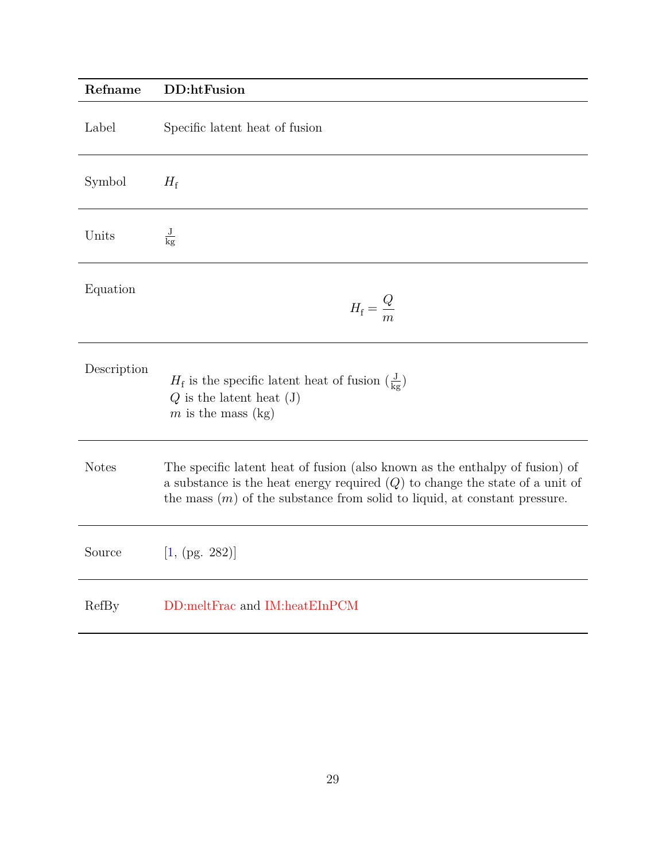<span id="page-28-0"></span>

| Refname      | DD:htFusion                                                                                                                                                                                                                                   |
|--------------|-----------------------------------------------------------------------------------------------------------------------------------------------------------------------------------------------------------------------------------------------|
| Label        | Specific latent heat of fusion                                                                                                                                                                                                                |
| Symbol       | $H_{\rm f}$                                                                                                                                                                                                                                   |
| Units        | $\frac{\text{J}}{\text{kg}}$                                                                                                                                                                                                                  |
| Equation     | $H_{\rm f}=\frac{Q}{m}$                                                                                                                                                                                                                       |
| Description  | $H_{\rm f}$ is the specific latent heat of fusion $(\frac{\rm J}{\rm kg})$<br>$Q$ is the latent heat $(J)$<br>$m$ is the mass (kg)                                                                                                            |
| <b>Notes</b> | The specific latent heat of fusion (also known as the enthalpy of fusion) of<br>a substance is the heat energy required $(Q)$ to change the state of a unit of<br>the mass $(m)$ of the substance from solid to liquid, at constant pressure. |
| Source       | [1, (pg. 282)]                                                                                                                                                                                                                                |
| RefBy        | DD:meltFrac and IM:heatEInPCM                                                                                                                                                                                                                 |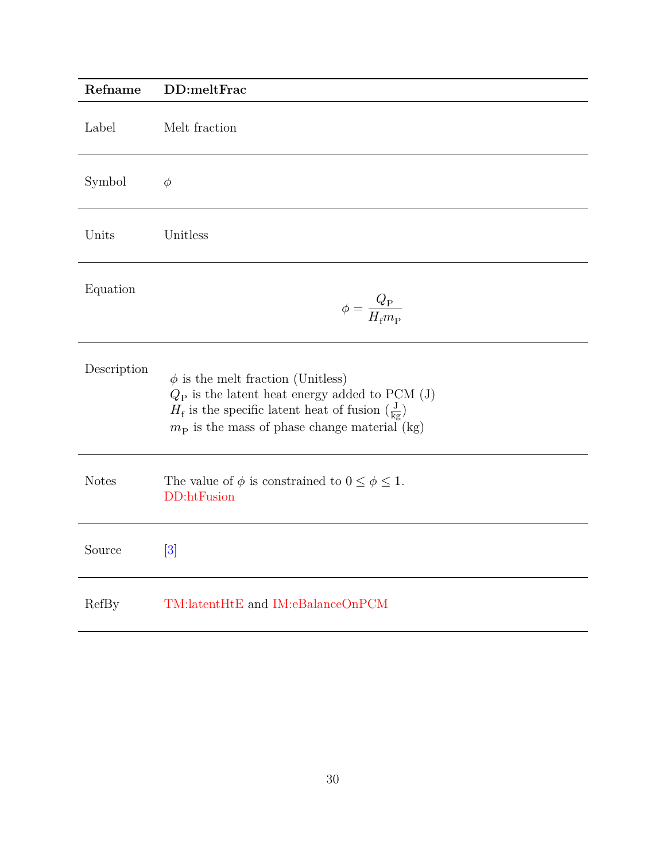<span id="page-29-0"></span>

| Refname      | DD:meltFrac                                                                                                                                                                                                                             |
|--------------|-----------------------------------------------------------------------------------------------------------------------------------------------------------------------------------------------------------------------------------------|
| Label        | Melt fraction                                                                                                                                                                                                                           |
| Symbol       | $\phi$                                                                                                                                                                                                                                  |
| Units        | Unitless                                                                                                                                                                                                                                |
| Equation     | $\phi = \frac{Q_{\rm P}}{H_{\rm f} m_{\rm P}}$                                                                                                                                                                                          |
| Description  | $\phi$ is the melt fraction (Unitless)<br>$Q_{\rm P}$ is the latent heat energy added to PCM (J)<br>$H_{\rm f}$ is the specific latent heat of fusion $(\frac{\rm J}{\rm kg})$<br>$m_{\rm P}$ is the mass of phase change material (kg) |
| <b>Notes</b> | The value of $\phi$ is constrained to $0 \leq \phi \leq 1$ .<br>DD:htFusion                                                                                                                                                             |
| Source       | $\lceil 3 \rceil$                                                                                                                                                                                                                       |
| RefBy        | TM:latentHtE and IM:eBalanceOnPCM                                                                                                                                                                                                       |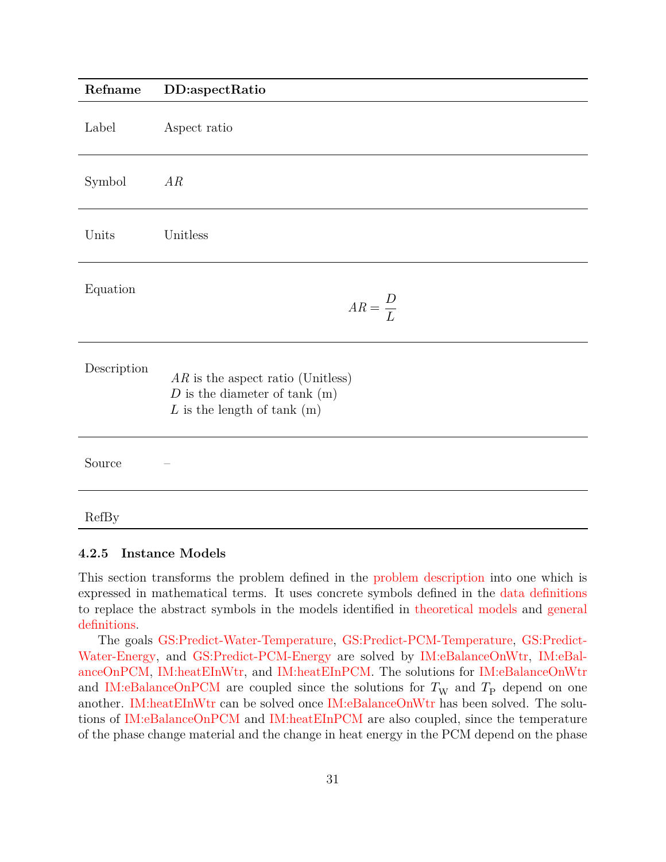<span id="page-30-1"></span>

| Refname      | DD:aspectRatio                                                                                              |
|--------------|-------------------------------------------------------------------------------------------------------------|
| Label        | Aspect ratio                                                                                                |
| Symbol       | AR                                                                                                          |
| Units        | Unitless                                                                                                    |
| Equation     | $AR = \frac{D}{L}$                                                                                          |
| Description  | $AR$ is the aspect ratio (Unitless)<br>$D$ is the diameter of tank $(m)$<br>$L$ is the length of tank $(m)$ |
| Source       |                                                                                                             |
| <b>RefBy</b> |                                                                                                             |

#### <span id="page-30-0"></span>**4.2.5 Instance Models**

This section transforms the problem defined in the [problem description](#page-9-0) into one which is expressed in mathematical terms. It uses concrete symbols defined in the [data definitions](#page-20-0) to replace the abstract symbols in the models identified in [theoretical models](#page-12-0) and [general](#page-16-0) [definitions.](#page-16-0)

The goals [GS:Predict-Water-Temperature,](#page-9-4) [GS:Predict-PCM-Temperature,](#page-9-5) [GS:Predict-](#page-9-6)[Water-Energy,](#page-9-6) and [GS:Predict-PCM-Energy](#page-9-7) are solved by [IM:eBalanceOnWtr,](#page-32-0) [IM:eBal](#page-34-0)[anceOnPCM,](#page-34-0) [IM:heatEInWtr,](#page-36-0) and [IM:heatEInPCM.](#page-37-0) The solutions for [IM:eBalanceOnWtr](#page-32-0) and [IM:eBalanceOnPCM](#page-34-0) are coupled since the solutions for  $T_W$  and  $T_P$  depend on one another. [IM:heatEInWtr](#page-36-0) can be solved once [IM:eBalanceOnWtr](#page-32-0) has been solved. The solutions of [IM:eBalanceOnPCM](#page-34-0) and [IM:heatEInPCM](#page-37-0) are also coupled, since the temperature of the phase change material and the change in heat energy in the PCM depend on the phase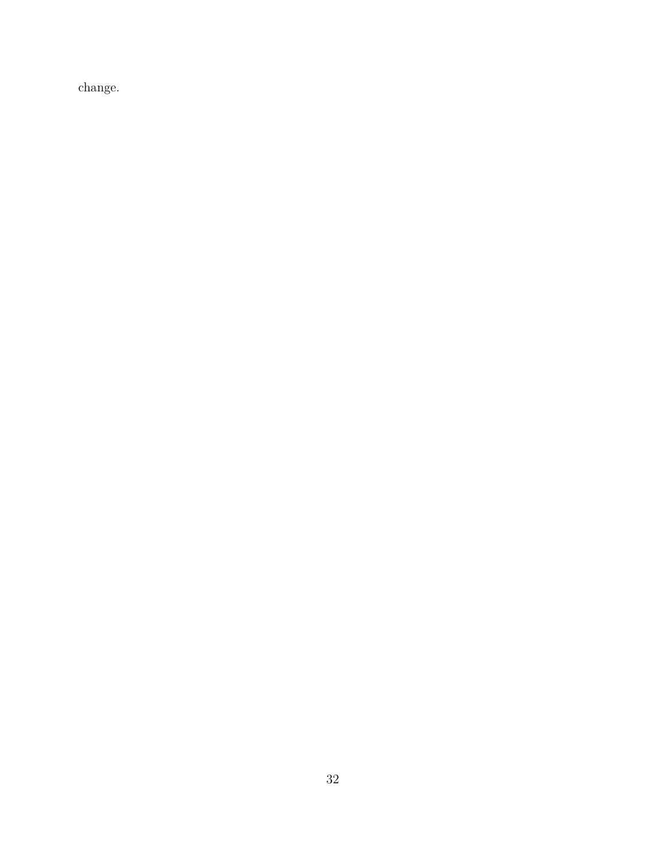change.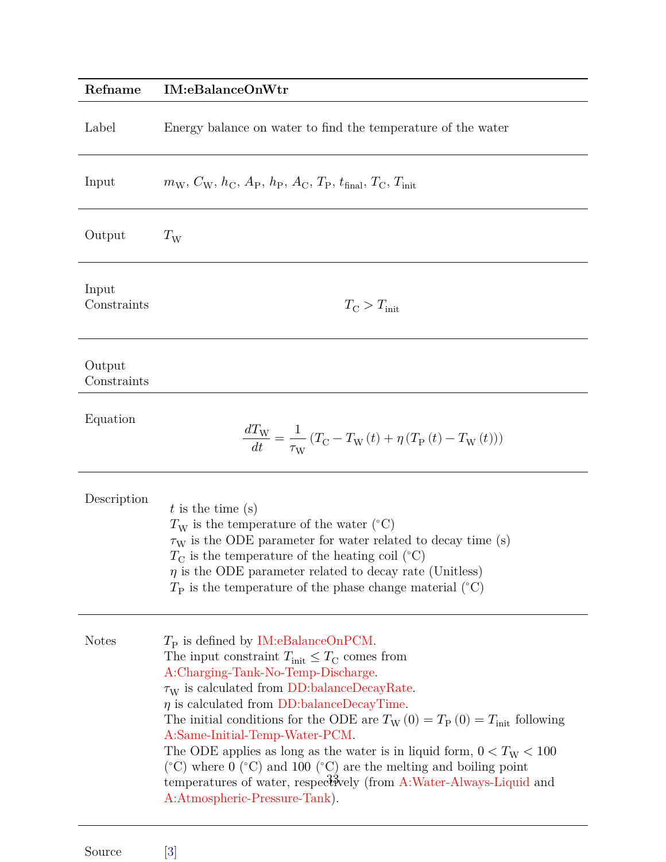<span id="page-32-0"></span>

| Refname               | <b>IM:</b> eBalanceOnWtr                                                                                                                                                                                                                                                                                                                                                                                                                                                                                                                                                                                                                                                                 |  |  |  |  |
|-----------------------|------------------------------------------------------------------------------------------------------------------------------------------------------------------------------------------------------------------------------------------------------------------------------------------------------------------------------------------------------------------------------------------------------------------------------------------------------------------------------------------------------------------------------------------------------------------------------------------------------------------------------------------------------------------------------------------|--|--|--|--|
| Label                 | Energy balance on water to find the temperature of the water                                                                                                                                                                                                                                                                                                                                                                                                                                                                                                                                                                                                                             |  |  |  |  |
| Input                 | $m_{\rm W}, C_{\rm W}, h_{\rm C}, A_{\rm P}, h_{\rm P}, A_{\rm C}, T_{\rm P}, t_{\rm final}, T_{\rm C}, T_{\rm init}$                                                                                                                                                                                                                                                                                                                                                                                                                                                                                                                                                                    |  |  |  |  |
| Output                | $T_{\rm W}$                                                                                                                                                                                                                                                                                                                                                                                                                                                                                                                                                                                                                                                                              |  |  |  |  |
| Input<br>Constraints  | $T_{\rm C} > T_{\rm init}$                                                                                                                                                                                                                                                                                                                                                                                                                                                                                                                                                                                                                                                               |  |  |  |  |
| Output<br>Constraints |                                                                                                                                                                                                                                                                                                                                                                                                                                                                                                                                                                                                                                                                                          |  |  |  |  |
| Equation              | $\frac{dT_{\rm W}}{dt}=\frac{1}{\tau_{\rm W}}\left(T_{\rm C}-T_{\rm W}\left(t\right)+\eta\left(T_{\rm P}\left(t\right)-T_{\rm W}\left(t\right)\right)\right)$                                                                                                                                                                                                                                                                                                                                                                                                                                                                                                                            |  |  |  |  |
| Description           | $t$ is the time (s)<br>$T_{\rm W}$ is the temperature of the water (°C)<br>$\tau_{\rm W}$ is the ODE parameter for water related to decay time (s)<br>$T_{\rm C}$ is the temperature of the heating coil (°C)<br>$\eta$ is the ODE parameter related to decay rate (Unitless)<br>$T_{\rm P}$ is the temperature of the phase change material ( $^{\circ}$ C)                                                                                                                                                                                                                                                                                                                             |  |  |  |  |
| <b>Notes</b>          | $T_{\rm P}$ is defined by IM:eBalanceOnPCM.<br>The input constraint $T_{\text{init}} \leq T_{\text{C}}$ comes from<br>A:Charging-Tank-No-Temp-Discharge.<br>$\tau_{\rm W}$ is calculated from DD:balanceDecayRate.<br>$\eta$ is calculated from DD:balanceDecayTime.<br>The initial conditions for the ODE are $T_W(0) = T_P(0) = T_{init}$ following<br>A:Same-Initial-Temp-Water-PCM.<br>The ODE applies as long as the water is in liquid form, $0 < T_{\text{W}} < 100$<br>$({}^{\circ}C)$ where 0 $({}^{\circ}C)$ and 100 $({}^{\circ}C)$ are the melting and boiling point<br>temperatures of water, respectively (from A:Water-Always-Liquid and<br>A:Atmospheric-Pressure-Tank). |  |  |  |  |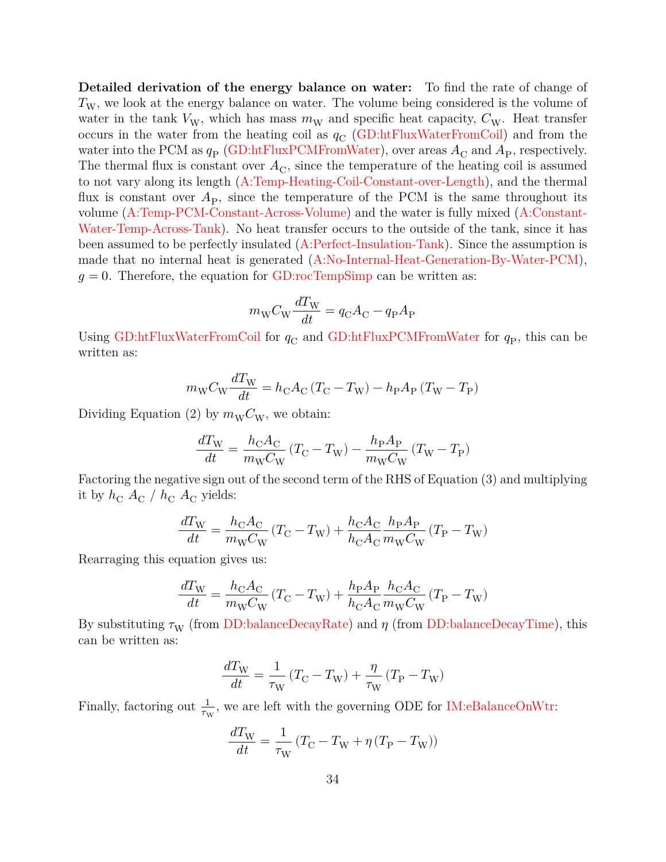**Detailed derivation of the energy balance on water:** To find the rate of change of  $T_{\rm W}$ , we look at the energy balance on water. The volume being considered is the volume of water in the tank  $V_W$ , which has mass  $m_W$  and specific heat capacity,  $C_W$ . Heat transfer occurs in the water from the heating coil as  $q_{\rm C}$  [\(GD:htFluxWaterFromCoil\)](#page-19-0) and from the water into the PCM as  $q_{\rm P}$  [\(GD:htFluxPCMFromWater\)](#page-20-1), over areas  $A_{\rm C}$  and  $A_{\rm P}$ , respectively. The thermal flux is constant over  $A_{\rm C}$ , since the temperature of the heating coil is assumed to not vary along its length [\(A:Temp-Heating-Coil-Constant-over-Length\)](#page-11-11), and the thermal flux is constant over  $A_{\rm P}$ , since the temperature of the PCM is the same throughout its volume [\(A:Temp-PCM-Constant-Across-Volume\)](#page-11-5) and the water is fully mixed [\(A:Constant-](#page-11-4)[Water-Temp-Across-Tank\)](#page-11-4). No heat transfer occurs to the outside of the tank, since it has been assumed to be perfectly insulated [\(A:Perfect-Insulation-Tank\)](#page-12-6). Since the assumption is made that no internal heat is generated [\(A:No-Internal-Heat-Generation-By-Water-PCM\)](#page-12-7),  $g = 0$ . Therefore, the equation for [GD:rocTempSimp](#page-17-0) can be written as:

$$
m_{\rm W}C_{\rm W}\frac{dT_{\rm W}}{dt}=q_{\rm C}A_{\rm C}-q_{\rm P}A_{\rm P}
$$

Using [GD:htFluxWaterFromCoil](#page-19-0) for  $q_{\rm C}$  and [GD:htFluxPCMFromWater](#page-20-1) for  $q_{\rm P}$ , this can be written as:

$$
m_{\rm W}C_{\rm W}\frac{dT_{\rm W}}{dt}=h_{\rm C}A_{\rm C}\left(T_{\rm C}-T_{\rm W}\right)-h_{\rm P}A_{\rm P}\left(T_{\rm W}-T_{\rm P}\right)
$$

Dividing Equation (2) by  $m_{\rm W}C_{\rm W}$ , we obtain:

$$
\frac{dT_{\rm W}}{dt} = \frac{h_{\rm C} A_{\rm C}}{m_{\rm W} C_{\rm W}} \left(T_{\rm C} - T_{\rm W}\right) - \frac{h_{\rm P} A_{\rm P}}{m_{\rm W} C_{\rm W}} \left(T_{\rm W} - T_{\rm P}\right)
$$

Factoring the negative sign out of the second term of the RHS of Equation (3) and multiplying it by  $h_C A_C / h_C A_C$  yields:

$$
\frac{dT_{\rm W}}{dt}=\frac{h_{\rm C}A_{\rm C}}{m_{\rm W}C_{\rm W}}\left(T_{\rm C}-T_{\rm W}\right)+\frac{h_{\rm C}A_{\rm C}}{h_{\rm C}A_{\rm C}}\frac{h_{\rm P}A_{\rm P}}{m_{\rm W}C_{\rm W}}\left(T_{\rm P}-T_{\rm W}\right)
$$

Rearraging this equation gives us:

$$
\frac{dT_{\rm W}}{dt}=\frac{h_{\rm C}A_{\rm C}}{m_{\rm W}C_{\rm W}}\left(T_{\rm C}-T_{\rm W}\right)+\frac{h_{\rm P}A_{\rm P}}{h_{\rm C}A_{\rm C}}\frac{h_{\rm C}A_{\rm C}}{m_{\rm W}C_{\rm W}}\left(T_{\rm P}-T_{\rm W}\right)
$$

By substituting  $\tau_{\rm w}$  (from [DD:balanceDecayRate\)](#page-24-0) and  $\eta$  (from [DD:balanceDecayTime\)](#page-25-0), this can be written as:

$$
\frac{dT_{\rm W}}{dt}=\frac{1}{\tau_{\rm W}}\left(T_{\rm C}-T_{\rm W}\right)+\frac{\eta}{\tau_{\rm W}}\left(T_{\rm P}-T_{\rm W}\right)
$$

Finally, factoring out  $\frac{1}{\tau_{\text{W}}}$ , we are left with the governing ODE for [IM:eBalanceOnWtr:](#page-32-0)

$$
\frac{dT_{\rm W}}{dt}=\frac{1}{\tau_{\rm W}}\left(T_{\rm C}-T_{\rm W}+\eta\left(T_{\rm P}-T_{\rm W}\right)\right)
$$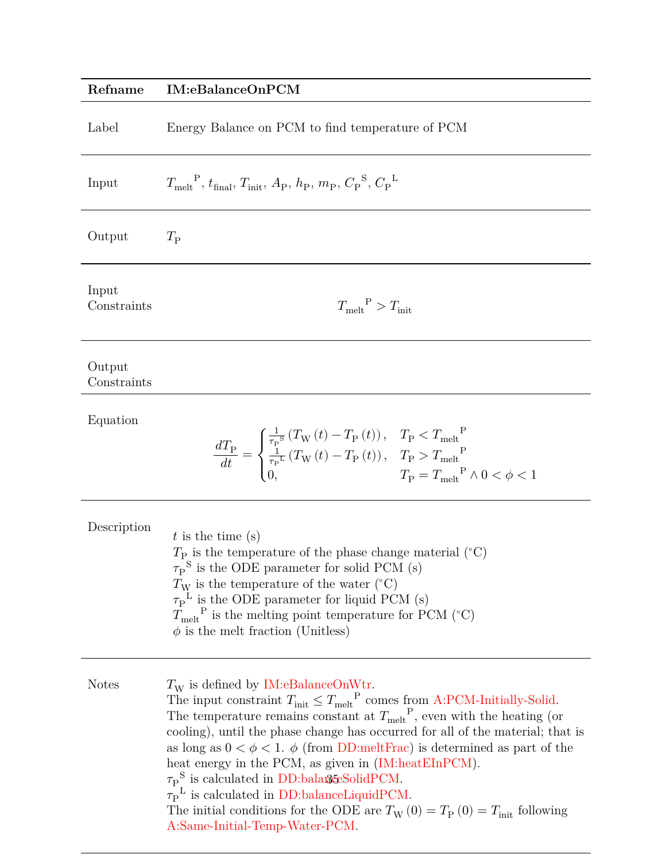## <span id="page-34-0"></span>**Refname IM:eBalanceOnPCM**

| Label | Energy Balance on PCM to find temperature of PCM |
|-------|--------------------------------------------------|
|-------|--------------------------------------------------|

| Input                 | $T_{\text{melt}}^{\text{P}}, t_{\text{final}}, T_{\text{init}}, A_{\text{P}}, h_{\text{P}}, m_{\text{P}}, C_{\text{P}}^{\text{S}}, C_{\text{P}}^{\text{L}}$                                                                                                                                                                                                                                                                                                                                                                                             |
|-----------------------|---------------------------------------------------------------------------------------------------------------------------------------------------------------------------------------------------------------------------------------------------------------------------------------------------------------------------------------------------------------------------------------------------------------------------------------------------------------------------------------------------------------------------------------------------------|
| Output                | $T_{\rm P}$                                                                                                                                                                                                                                                                                                                                                                                                                                                                                                                                             |
| Input<br>Constraints  | $T_{\text{melt}}^{\text{P}} > T_{\text{init}}$                                                                                                                                                                                                                                                                                                                                                                                                                                                                                                          |
| Output<br>Constraints |                                                                                                                                                                                                                                                                                                                                                                                                                                                                                                                                                         |
| Equation              | $\label{eq:1} \frac{dT_\mathrm{P}}{dt} = \begin{cases} \frac{1}{\tau_\mathrm{P}^\mathrm{S}} \left(T_\mathrm{W}\left(t\right) - T_\mathrm{P}\left(t\right)\right), & T_\mathrm{P} < T_\mathrm{melt}^\mathrm{P} \\ \frac{1}{\tau_\mathrm{P}^\mathrm{L}} \left(T_\mathrm{W}\left(t\right) - T_\mathrm{P}\left(t\right)\right), & T_\mathrm{P} > T_\mathrm{melt}^\mathrm{P} \\ 0 & T_\mathrm{P} = T_\mathrm{melt}^\mathrm{P} \wedge 0 < \phi < 1 \end{cases}$                                                                                               |
| Description           | $t$ is the time (s)<br>$T_{\rm P}$ is the temperature of the phase change material ( $\degree$ C)<br>$\tau_{\rm P}^{\rm S}$ is the ODE parameter for solid PCM (s)<br>$T_{\rm W}$ is the temperature of the water (°C)<br>$\tau_{\rm P}^{\rm L}$ is the ODE parameter for liquid PCM (s)<br>$T_{\text{melt}}^{\text{P}}$ is the melting point temperature for PCM (°C)<br>$\phi$ is the melt fraction (Unitless)                                                                                                                                        |
| <b>Notes</b>          | $T_{\rm W}$ is defined by IM:eBalanceOnWtr.<br>The input constraint $T_{\text{init}} \leq {T_{\text{melt}}}^{\text{P}}$ comes from A:PCM-Initially-Solid.<br>The temperature remains constant at $T_{\text{melt}}^{\text{P}}$ , even with the heating (or<br>cooling), until the phase change has occurred for all of the material; that is<br>as long as $0 < \phi < 1$ . $\phi$ (from DD:meltFrac) is determined as part of the<br>heat energy in the PCM, as given in (IM:heatEInPCM).<br>$\tau_P^{\text{S}}$ is calculated in DD:balange Solid PCM. |

 $\tau_P^{\phantom{P}L}$  is calculated in [DD:balanceLiquidPCM.](#page-27-0)

The initial conditions for the ODE are  $T_{\rm W}(0) = T_{\rm P}(0) = T_{\rm init}$  following [A:Same-Initial-Temp-Water-PCM.](#page-12-1)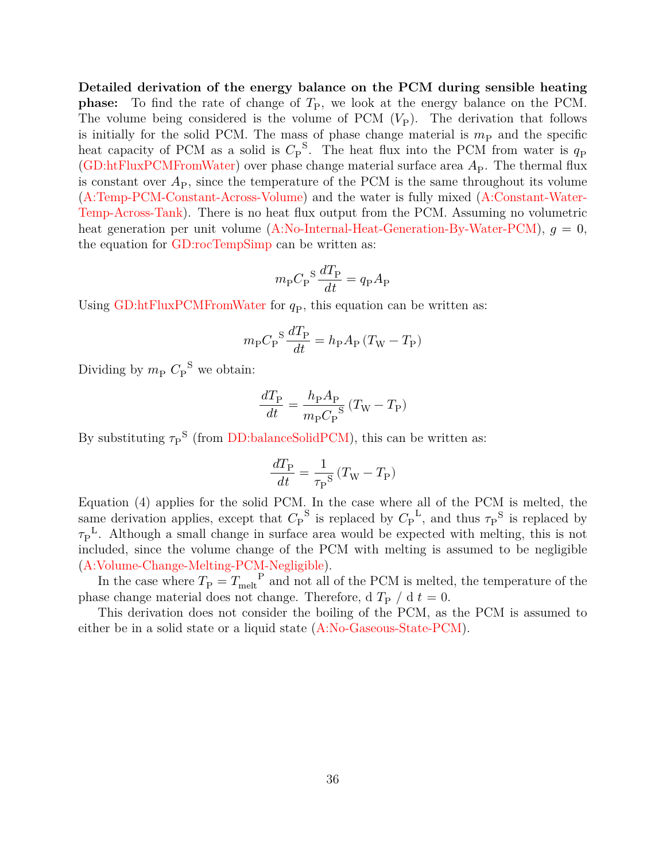**Detailed derivation of the energy balance on the PCM during sensible heating phase:** To find the rate of change of  $T<sub>P</sub>$ , we look at the energy balance on the PCM. The volume being considered is the volume of PCM  $(V_P)$ . The derivation that follows is initially for the solid PCM. The mass of phase change material is  $m_{\rm P}$  and the specific heat capacity of PCM as a solid is  $C_P^S$ . The heat flux into the PCM from water is  $q_P$ [\(GD:htFluxPCMFromWater\)](#page-20-1) over phase change material surface area  $A<sub>P</sub>$ . The thermal flux is constant over  $A_{\rm P}$ , since the temperature of the PCM is the same throughout its volume [\(A:Temp-PCM-Constant-Across-Volume\)](#page-11-5) and the water is fully mixed [\(A:Constant-Water-](#page-11-4)[Temp-Across-Tank\)](#page-11-4). There is no heat flux output from the PCM. Assuming no volumetric heat generation per unit volume [\(A:No-Internal-Heat-Generation-By-Water-PCM\)](#page-12-7),  $q = 0$ , the equation for [GD:rocTempSimp](#page-17-0) can be written as:

$$
m_{\rm P} C_{\rm P}^{\phantom{2}} \frac{dT_{\rm P}}{dt} = q_{\rm P} A_{\rm P}
$$

Using [GD:htFluxPCMFromWater](#page-20-1) for  $q<sub>P</sub>$ , this equation can be written as:

$$
m_{\rm P} C_{\rm P}^{\phantom{2}} \frac{dT_{\rm P}}{dt} = h_{\rm P} A_{\rm P} \left( T_{\rm W} - T_{\rm P} \right)
$$

Dividing by  $m_{\rm P} C_{\rm P}^{\text{S}}$  we obtain:

$$
\frac{dT_{\rm P}}{dt} = \frac{h_{\rm P}A_{\rm P}}{m_{\rm P}C_{\rm P}}\left(T_{\rm W}-T_{\rm P}\right)
$$

By substituting  $\tau_P^{\text{S}}$  (from [DD:balanceSolidPCM\)](#page-26-0), this can be written as:

$$
\frac{dT_{\rm P}}{dt} = \frac{1}{\tau_{\rm P}^{\rm S}} \left( T_{\rm W} - T_{\rm P} \right)
$$

Equation (4) applies for the solid PCM. In the case where all of the PCM is melted, the same derivation applies, except that  $C_P^S$  is replaced by  $C_P^L$ , and thus  $\tau_P^S$  is replaced by  $\tau_P^L$ . Although a small change in surface area would be expected with melting, this is not included, since the volume change of the PCM with melting is assumed to be negligible [\(A:Volume-Change-Melting-PCM-Negligible\)](#page-12-9).

In the case where  $T_{\rm P} = T_{\rm melt}^{\rm P}$  and not all of the PCM is melted, the temperature of the phase change material does not change. Therefore, d  $T_{\rm P}$  / d  $t=0$ .

This derivation does not consider the boiling of the PCM, as the PCM is assumed to either be in a solid state or a liquid state [\(A:No-Gaseous-State-PCM\)](#page-12-10).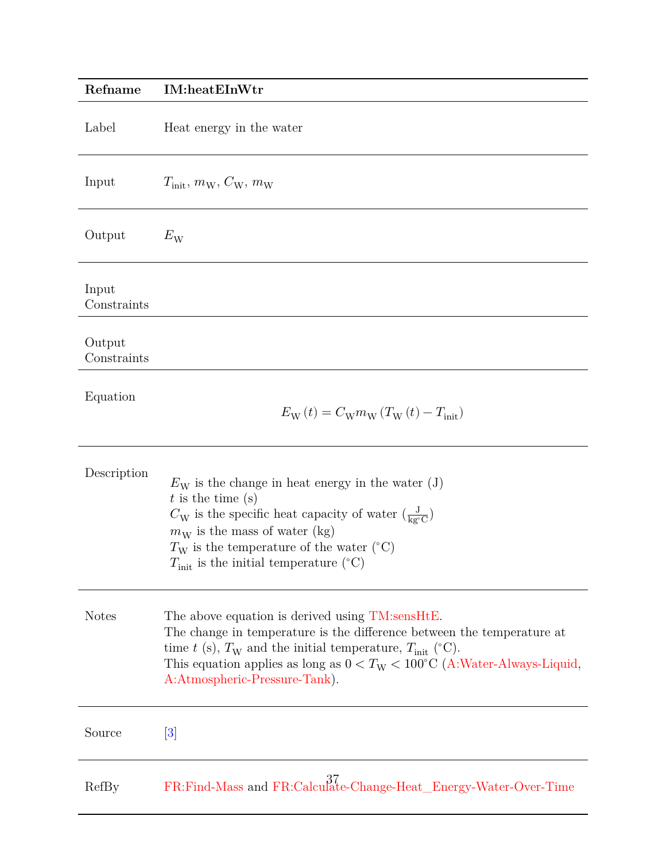<span id="page-36-0"></span>

| Refname               | <b>IM:heatEInWtr</b>                                                                                                                                                                                                                                                                                                            |
|-----------------------|---------------------------------------------------------------------------------------------------------------------------------------------------------------------------------------------------------------------------------------------------------------------------------------------------------------------------------|
| Label                 | Heat energy in the water                                                                                                                                                                                                                                                                                                        |
| Input                 | $T_{\text{init}}, m_{\text{W}}, C_{\text{W}}, m_{\text{W}}$                                                                                                                                                                                                                                                                     |
| Output                | $E_{\rm W}$                                                                                                                                                                                                                                                                                                                     |
| Input<br>Constraints  |                                                                                                                                                                                                                                                                                                                                 |
| Output<br>Constraints |                                                                                                                                                                                                                                                                                                                                 |
| Equation              | $E_{\rm W}(t) = C_{\rm W} m_{\rm W} (T_{\rm W}(t) - T_{\rm init})$                                                                                                                                                                                                                                                              |
| Description           | $E_{\rm W}$ is the change in heat energy in the water (J)<br>$t$ is the time (s)<br>$C_{\rm W}$ is the specific heat capacity of water $\left(\frac{\rm J}{\rm ke^{\circ}C}\right)$<br>$m_W$ is the mass of water (kg)<br>$T_{\rm W}$ is the temperature of the water (°C)<br>$T_{\text{init}}$ is the initial temperature (°C) |
| <b>Notes</b>          | The above equation is derived using TM:sensHtE.<br>The change in temperature is the difference between the temperature at<br>time t (s), $T_W$ and the initial temperature, $T_{init}$ (°C).<br>This equation applies as long as $0 < T_W < 100^{\circ}$ C (A:Water-Always-Liquid,<br>A:Atmospheric-Pressure-Tank).             |
| Source                | $[3]$                                                                                                                                                                                                                                                                                                                           |
| RefBy                 | FR:Find-Mass and FR:Calculate-Change-Heat_Energy-Water-Over-Time                                                                                                                                                                                                                                                                |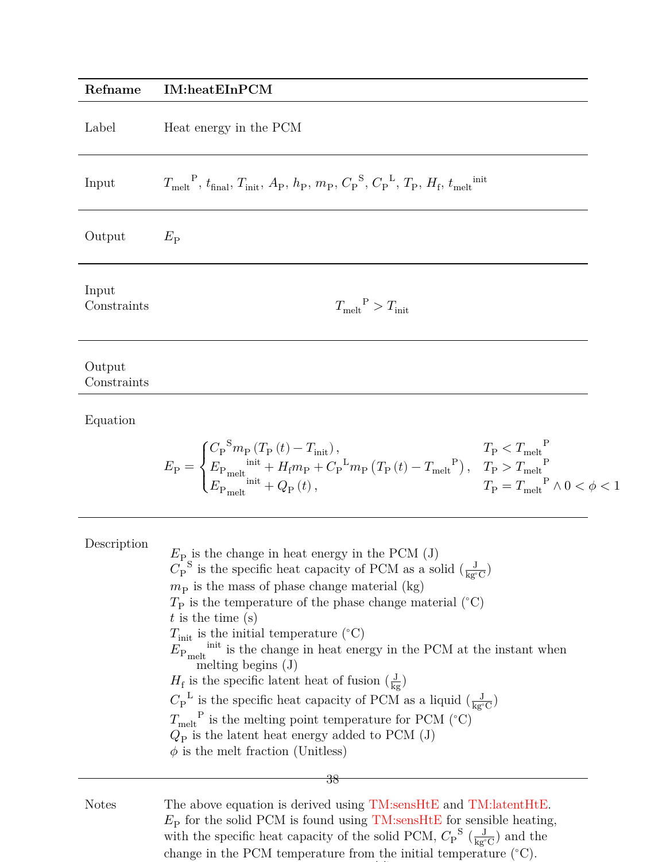### <span id="page-37-0"></span>**Refname IM:heatEInPCM**

| Input |  | $T_{\text{melt}}^{\text{P}}, t_{\text{final}}, T_{\text{init}}, A_{\text{P}}, h_{\text{P}}, m_{\text{P}}, C_{\text{P}}^{\text{S}}, C_{\text{P}}^{\text{L}}, T_{\text{P}}, H_{\text{f}}, t_{\text{melt}}^{\text{init}}$ |  |
|-------|--|------------------------------------------------------------------------------------------------------------------------------------------------------------------------------------------------------------------------|--|
|       |  |                                                                                                                                                                                                                        |  |

Output  $E_{\rm P}$ 

Input  $<sub>Constraints</sub>$ </sub>

 $T_{\rm melt}^{\quad \ \, {\rm P}}>T_{\rm init}$ 

Output Constraints

Equation

$$
E_{\rm P} = \begin{cases} C_{\rm P}^{\rm S}m_{\rm P}\left(T_{\rm P}\left(t\right)-T_{\rm init}\right), & T_{\rm P} < T_{\rm melt}^{\rm P}\\ E_{\rm P_{\rm melt}}^{\rm init} + H_{\rm f}m_{\rm P} + {C_{\rm P}}^{\rm L}m_{\rm P}\left(T_{\rm P}\left(t\right)-T_{\rm melt}^{\rm P}\right), & T_{\rm P} > T_{\rm melt}^{\rm P}\\ E_{\rm P_{\rm melt}}^{\rm init} + Q_{\rm P}\left(t\right), & T_{\rm P} = T_{\rm melt}^{\rm P} \wedge 0 < \phi < 1 \end{cases}
$$

| Description  | $E_{\rm P}$ is the change in heat energy in the PCM (J)<br>$C_{\rm P}^{\rm S}$ is the specific heat capacity of PCM as a solid $(\frac{\rm J}{\rm k}C)$<br>$m_{\rm P}$ is the mass of phase change material (kg)<br>$T_{\rm P}$ is the temperature of the phase change material ( $\rm ^{\circ}C)$ )<br>$t$ is the time (s)<br>$T_{\rm init}$ is the initial temperature (°C) $E_{\rm P, melt}$ initial temperature (°C) $E_{\rm P, melt}$<br>melting begins $(J)$<br>$H_{\rm f}$ is the specific latent heat of fusion $(\frac{\rm J}{\rm kg})$<br>$C_{\rm P}^{\rm L}$ is the specific heat capacity of PCM as a liquid $\left(\frac{\rm J}{\rm k}x\right)$<br>$T_{\text{melt}}^{\text{P}}$ is the melting point temperature for PCM (°C)<br>$Q_{\rm P}$ is the latent heat energy added to PCM (J)<br>$\phi$ is the melt fraction (Unitless) |
|--------------|------------------------------------------------------------------------------------------------------------------------------------------------------------------------------------------------------------------------------------------------------------------------------------------------------------------------------------------------------------------------------------------------------------------------------------------------------------------------------------------------------------------------------------------------------------------------------------------------------------------------------------------------------------------------------------------------------------------------------------------------------------------------------------------------------------------------------------------------|
| <b>Notes</b> | 38<br>The above equation is derived using TM:sensHtE and TM:latentHtE.                                                                                                                                                                                                                                                                                                                                                                                                                                                                                                                                                                                                                                                                                                                                                                         |

 $E<sub>P</sub>$  for the solid PCM is found using [TM:sensHtE](#page-14-0) for sensible heating, with the specific heat capacity of the solid PCM,  $C_{\rm P}^{\rm S}$  ( $\frac{\rm J}{\rm kg^3}$  $\frac{J}{\text{kg}^{\circ}\text{C}}$  and the change in the PCM temperature from the initial temperature (<sup>∘</sup>C).

initial initial intervention in the found using [TM:sensHtE](#page-14-0) for the found using TM:sensHtE for the found using T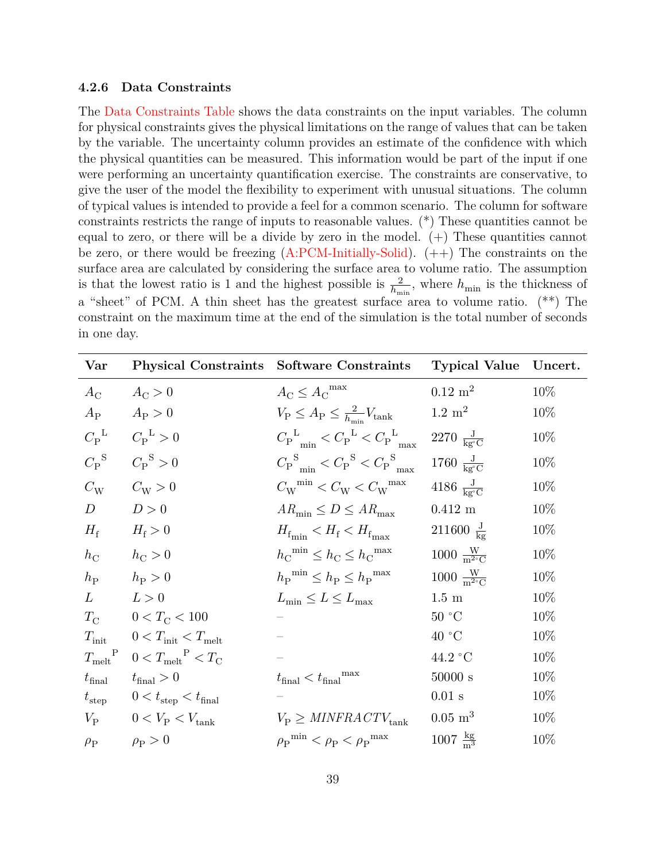#### <span id="page-38-0"></span>**4.2.6 Data Constraints**

The [Data Constraints Table](#page-38-1) shows the data constraints on the input variables. The column for physical constraints gives the physical limitations on the range of values that can be taken by the variable. The uncertainty column provides an estimate of the confidence with which the physical quantities can be measured. This information would be part of the input if one were performing an uncertainty quantification exercise. The constraints are conservative, to give the user of the model the flexibility to experiment with unusual situations. The column of typical values is intended to provide a feel for a common scenario. The column for software constraints restricts the range of inputs to reasonable values. (\*) These quantities cannot be equal to zero, or there will be a divide by zero in the model.  $(+)$  These quantities cannot be zero, or there would be freezing  $(A:PCM-Initially-Solid)$ .  $(++)$  The constraints on the surface area are calculated by considering the surface area to volume ratio. The assumption is that the lowest ratio is 1 and the highest possible is  $\frac{2}{h_{\min}}$ , where  $h_{\min}$  is the thickness of a "sheet" of PCM. A thin sheet has the greatest surface area to volume ratio. (\*\*) The constraint on the maximum time at the end of the simulation is the total number of seconds in one day.

<span id="page-38-1"></span>

| Var                             |                                                 | Physical Constraints Software Constraints                                                         | <b>Typical Value</b>                | Uncert. |
|---------------------------------|-------------------------------------------------|---------------------------------------------------------------------------------------------------|-------------------------------------|---------|
| $A_{\rm C}$                     | $A_{\rm C} > 0$                                 | $A_{\rm C} \leq A_{\rm C}^{\rm max}$                                                              | $0.12 \text{ m}^2$                  | 10%     |
| $A_{\rm P}$                     | $A_{\rm P} > 0$                                 | $V_{\rm P} \leq A_{\rm P} \leq \frac{2}{h_{\rm min}} V_{\rm tank}$                                | $1.2~{\rm m}^2$                     | $10\%$  |
| $C_{\rm P}^{\rm L}$             | $C_{\rm P}^{\rm L} > 0$                         | $C_{\rm P}^{\rm L}$ <sub>min</sub> $\lt C_{\rm P}^{\rm L}$ $\lt C_{\rm P}^{\rm L}$ <sub>may</sub> | 2270 $\frac{J}{k g^{\circ} C}$      | 10%     |
| ${C_{\mathrm{P}}}^{\mathrm{S}}$ | $C_{\rm P}^{\rm S} > 0$                         | ${C_{\rm P}}_{\rm min}^{\rm S} < {C_{\rm P}}^{\rm S} < {C_{\rm P}}_{\rm max}^{\rm S}$             | 1760 $\frac{J}{k\sigma^{\circ}C}$   | 10\%    |
| $C_{\rm W}$                     | $C_{\rm W} > 0$                                 | $C_{\rm W}$ <sup>min</sup> < $C_{\rm W}$ < $C_{\rm W}$ <sup>max</sup>                             | 4186 $\frac{J}{k\sigma^{\circ}C}$   | 10\%    |
| $\boldsymbol{D}$                | D>0                                             | $AR_{\min} \le D \le AR_{\max}$                                                                   | $0.412~\mathrm{m}$                  | 10\%    |
| $H_{\rm f}$                     | $H_{\rm f} > 0$                                 | $H_{f_{\min}} < H_{f} < H_{f_{\max}}$                                                             | 211600 $\frac{J}{kg}$               | $10\%$  |
| $h_{\rm C}$                     | $h_{\rm C} > 0$                                 | $h_{\rm C}^{\rm min} \leq h_{\rm C} \leq h_{\rm C}^{\rm max}$                                     | $1000 \frac{W}{m^{2} C}$            | 10%     |
| $h_{\rm P}$                     | $h_{\rm P} > 0$                                 | $h_{\rm P}^{\min} \leq h_{\rm P} \leq h_{\rm P}^{\max}$                                           | $1000 \frac{W}{m^2 C}$              | 10%     |
| $L \$                           | L>0                                             | $L_{\min} \le L \le L_{\max}$                                                                     | $1.5~\mathrm{m}$                    | 10\%    |
| $T_{\rm C}$                     | $0 < T_{\rm C} < 100$                           |                                                                                                   | $50\ ^{\circ}\mathrm{C}$            | 10%     |
| $T_{\rm init}$                  | $0 < T_{\text{init}} < T_{\text{melt}}$         |                                                                                                   | 40 °C                               | $10\%$  |
| $T_{\rm melt}^{\rm P}$          | $0 < T_{\text{melt}}^{\text{P}} < T_{\text{C}}$ |                                                                                                   | 44.2 °C                             | 10\%    |
| $t_{\rm final}$                 | $t_{\text{final}}>0$                            | $t_{\rm final} < t_{\rm final}^{\rm max}$                                                         | $50000~\mathrm{s}$                  | 10\%    |
| $t_{\rm step}$                  | $0 < t_{\text{step}} < t_{\text{final}}$        |                                                                                                   | $0.01$ s                            | 10\%    |
| $V_{\rm P}$                     | $0 < V_{\rm P} < V_{\rm tank}$                  | $V_P \geq MINFRA$ $CTV_{\text{tank}}$                                                             | $0.05~\mathrm{m}^3$                 | 10\%    |
| $\rho_{\rm P}$                  | $\rho_P > 0$                                    | $\rho_P^{min} < \rho_P < \rho_P^{max}$                                                            | $1007 \frac{\text{kg}}{\text{m}^3}$ | 10\%    |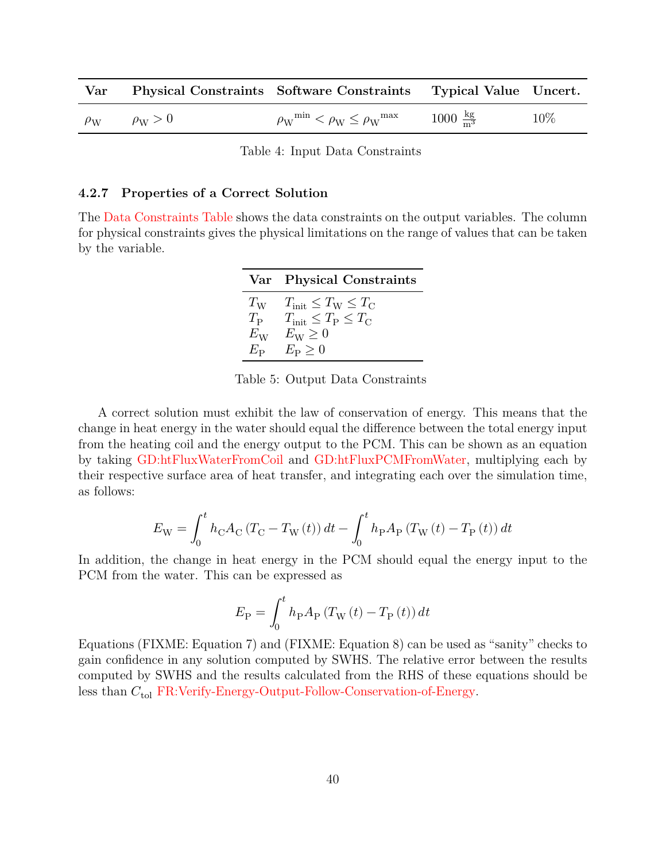| $\operatorname{Var}$ |                    | Physical Constraints Software Constraints Typical Value Uncert.     |                                     |        |
|----------------------|--------------------|---------------------------------------------------------------------|-------------------------------------|--------|
| $\rho_{\mathrm{W}}$  | $\rho_{\rm W} > 0$ | $\rho_{\rm W}^{\rm min} < \rho_{\rm W} \leq \rho_{\rm W}^{\rm max}$ | $1000 \frac{\text{kg}}{\text{m}^3}$ | $10\%$ |

Table 4: Input Data Constraints

#### <span id="page-39-0"></span>**4.2.7 Properties of a Correct Solution**

<span id="page-39-1"></span>The [Data Constraints Table](#page-39-1) shows the data constraints on the output variables. The column for physical constraints gives the physical limitations on the range of values that can be taken by the variable.

|                                           | Var Physical Constraints                                                                                                                                      |
|-------------------------------------------|---------------------------------------------------------------------------------------------------------------------------------------------------------------|
| $T_{\rm P}$<br>$E_{\rm W}$<br>$E_{\bf p}$ | $T_{\rm W}$ $T_{\rm init} \leq T_{\rm W} \leq T_{\rm C}$<br>$T_{\text{init}} \leq T_{\text{P}} \leq T_{\text{C}}$<br>$E_{\rm W} \geq 0$<br>$E_{\rm P} \geq 0$ |

Table 5: Output Data Constraints

A correct solution must exhibit the law of conservation of energy. This means that the change in heat energy in the water should equal the difference between the total energy input from the heating coil and the energy output to the PCM. This can be shown as an equation by taking [GD:htFluxWaterFromCoil](#page-19-0) and [GD:htFluxPCMFromWater,](#page-20-1) multiplying each by their respective surface area of heat transfer, and integrating each over the simulation time, as follows:

$$
E_{\rm W}=\int_{0}^{t}h_{\rm C}A_{\rm C}\left(T_{\rm C}-T_{\rm W}\left(t\right)\right)dt-\int_{0}^{t}h_{\rm P}A_{\rm P}\left(T_{\rm W}\left(t\right)-T_{\rm P}\left(t\right)\right)dt
$$

In addition, the change in heat energy in the PCM should equal the energy input to the PCM from the water. This can be expressed as

$$
E_{\mathrm{P}}=\int_{0}^{t}h_{\mathrm{P}}A_{\mathrm{P}}\left(T_{\mathrm{W}}\left(t\right)-T_{\mathrm{P}}\left(t\right)\right)dt
$$

Equations (FIXME: Equation 7) and (FIXME: Equation 8) can be used as "sanity" checks to gain confidence in any solution computed by SWHS. The relative error between the results computed by SWHS and the results calculated from the RHS of these equations should be less than  $C_{\text{tol}}$  [FR:Verify-Energy-Output-Follow-Conservation-of-Energy.](#page-40-10)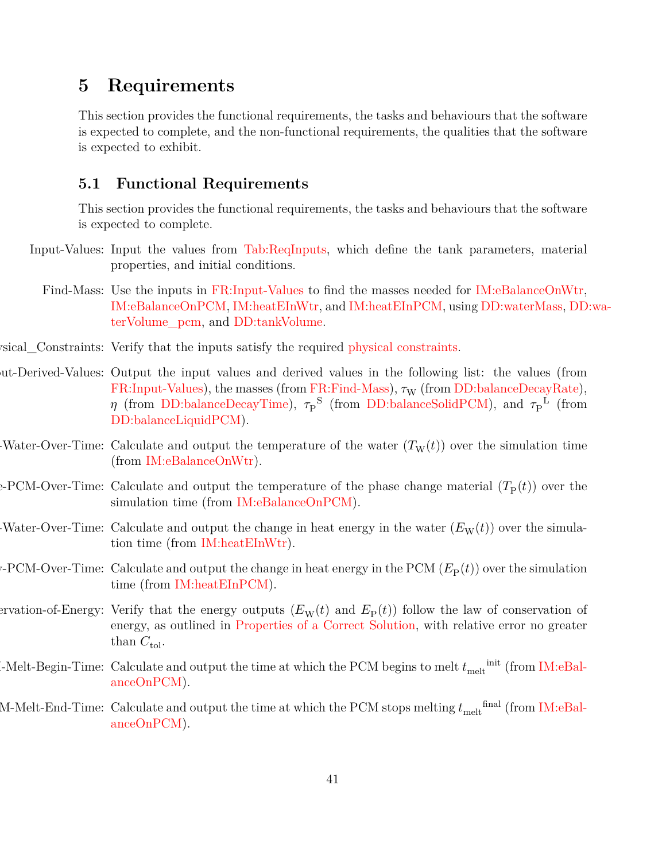## <span id="page-40-0"></span>**5 Requirements**

This section provides the functional requirements, the tasks and behaviours that the software is expected to complete, and the non-functional requirements, the qualities that the software is expected to exhibit.

#### <span id="page-40-1"></span>**5.1 Functional Requirements**

<span id="page-40-12"></span><span id="page-40-2"></span>This section provides the functional requirements, the tasks and behaviours that the software is expected to complete.

- Input-Values: Input the values from [Tab:ReqInputs,](#page-40-11) which define the tank parameters, material properties, and initial conditions.
	- Find-Mass: Use the inputs in FR: Input-Values to find the masses needed for IM: eBalance OnWtr, [IM:eBalanceOnPCM,](#page-34-0) [IM:heatEInWtr,](#page-36-0) and [IM:heatEInPCM,](#page-37-0) using [DD:waterMass,](#page-21-0) [DD](#page-22-0):wa[terVolume\\_pcm,](#page-22-0) and [DD:tankVolume.](#page-23-0)
- <span id="page-40-13"></span><span id="page-40-3"></span>sical\_Constraints: Verify that the inputs satisfy the required [physical constraints.](#page-38-0)
- ut-Derived-Values: Output the input values and derived values in the following list: the values (from [FR:Input-Values\)](#page-40-12), the masses (from [FR:Find-Mass\)](#page-40-2),  $\tau_{\rm W}$  (from [DD:balanceDecayRate\)](#page-24-0),  $\eta$  (from [DD:balanceDecayTime\)](#page-25-0),  $\tau_P^{\text{S}}$  (from [DD:balanceSolidPCM\)](#page-26-0), and  $\tau_P^{\text{L}}$  (from [DD:balanceLiquidPCM\)](#page-27-0).
- <span id="page-40-4"></span>Water-Over-Time: Calculate and output the temperature of the water  $(T_w(t))$  over the simulation time (from [IM:eBalanceOnWtr\)](#page-32-0).
- <span id="page-40-5"></span>e-PCM-Over-Time: Calculate and output the temperature of the phase change material  $(T_P(t))$  over the simulation time (from [IM:eBalanceOnPCM\)](#page-34-0).
- <span id="page-40-8"></span>Water-Over-Time: Calculate and output the change in heat energy in the water  $(E_W(t))$  over the simulation time (from [IM:heatEInWtr\)](#page-36-0).
- <span id="page-40-9"></span> $\mathcal{C}$ -PCM-Over-Time: Calculate and output the change in heat energy in the PCM ( $E_P(t)$ ) over the simulation time (from [IM:heatEInPCM\)](#page-37-0).
- <span id="page-40-11"></span><span id="page-40-10"></span><span id="page-40-7"></span><span id="page-40-6"></span>ervation-of-Energy: Verify that the energy outputs  $(E_W(t)$  and  $E_P(t)$ ) follow the law of conservation of energy, as outlined in [Properties of a Correct Solution,](#page-39-0) with relative error no greater than  $C_{\text{tol}}$ .
- $\text{L-Melt-Begin-Time: Calculate and output the time at which the PCM begins to melt } t_{\text{melt}}^{\text{init}} \text{ (from IM: eBal.)}$ [anceOnPCM\)](#page-34-0).
	- M-Melt-End-Time: Calculate and output the time at which the PCM stops melting  $t_{\rm melt}^{\rm final}$  (from [IM:eBal](#page-34-0)[anceOnPCM\)](#page-34-0).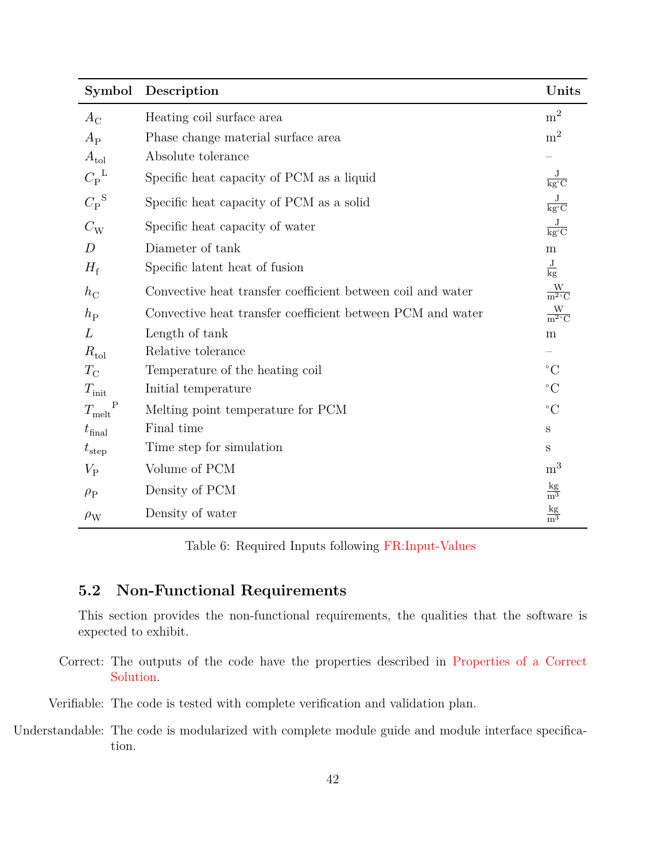| Symbol                        | Description                                                 | Units                                        |
|-------------------------------|-------------------------------------------------------------|----------------------------------------------|
| $A_{\rm C}$                   | Heating coil surface area                                   | m <sup>2</sup>                               |
| $A_{\rm P}$                   | Phase change material surface area                          | m <sup>2</sup>                               |
| $A_{\text{tol}}$              | Absolute tolerance                                          |                                              |
| $C_{\rm P}^{\rm L}$           | Specific heat capacity of PCM as a liquid                   | $\frac{\text{J}}{\text{kg}^{\circ}\text{C}}$ |
| $C_{\rm P}^{\rm S}$           | Specific heat capacity of PCM as a solid                    | $\frac{J}{kg^{\circ}C}$                      |
| $C_{\rm W}$                   | Specific heat capacity of water                             | $\frac{\text{J}}{\text{kg}^{\circ}\text{C}}$ |
| D                             | Diameter of tank                                            | ${\bf m}$                                    |
| $H_{\rm f}$                   | Specific latent heat of fusion                              | $\frac{J}{kg}$                               |
| $h_{\rm C}$                   | Convective heat transfer coefficient between coil and water | $\frac{W}{m^2 C}$                            |
| $h_{\rm P}$                   | Convective heat transfer coefficient between PCM and water  | $\frac{W}{m^2 C}$                            |
| L                             | Length of tank                                              | m                                            |
| $R_{\rm tol}$                 | Relative tolerance                                          |                                              |
| $T_{\rm C}$                   | Temperature of the heating coil                             | $^{\circ}C$                                  |
| $T_{\text{init}}$             | Initial temperature                                         | $\rm ^{\circ}C$                              |
| $\mathbf P$<br>$T_{\rm melt}$ | Melting point temperature for PCM                           | $\rm ^{\circ}C$                              |
| $t_{\rm final}$               | Final time                                                  | S                                            |
| $t_{\rm step}$                | Time step for simulation                                    | S                                            |
| $V_{\rm P}$                   | Volume of PCM                                               | m <sup>3</sup>                               |
| $\rho_P$                      | Density of PCM                                              | $rac{\text{kg}}{\text{m}^3}$                 |
| $\rho_{\rm W}$                | Density of water                                            | $rac{\text{kg}}{\text{m}^3}$                 |

Table 6: Required Inputs following [FR:Input-Values](#page-40-12)

## <span id="page-41-0"></span>**5.2 Non-Functional Requirements**

<span id="page-41-1"></span>This section provides the non-functional requirements, the qualities that the software is expected to exhibit.

Correct: The outputs of the code have the properties described in [Properties of a Correct](#page-39-0) [Solution.](#page-39-0)

<span id="page-41-3"></span><span id="page-41-2"></span>Verifiable: The code is tested with complete verification and validation plan.

Understandable: The code is modularized with complete module guide and module interface specification.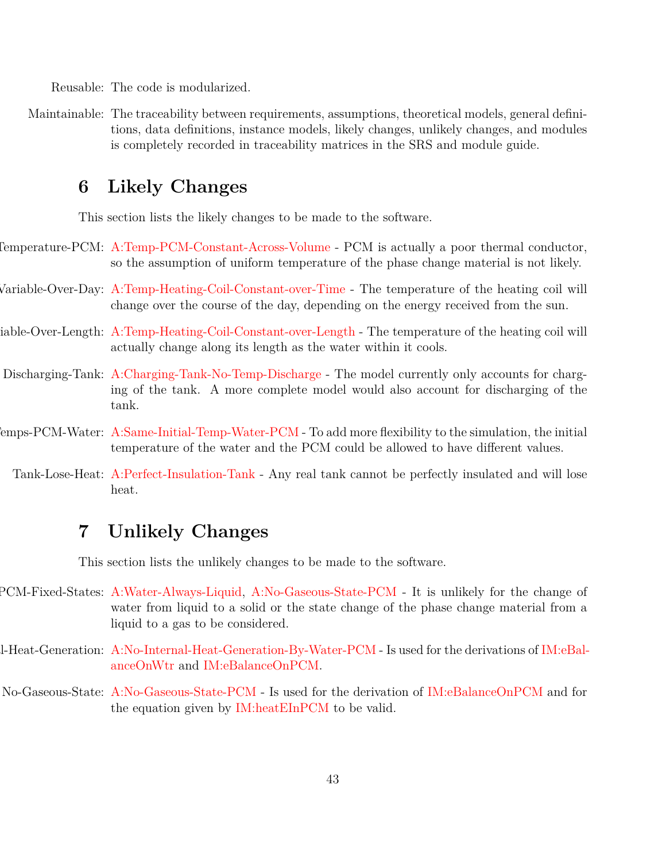<span id="page-42-12"></span><span id="page-42-11"></span>Reusable: The code is modularized.

Maintainable: The traceability between requirements, assumptions, theoretical models, general definitions, data definitions, instance models, likely changes, unlikely changes, and modules is completely recorded in traceability matrices in the SRS and module guide.

## <span id="page-42-0"></span>**6 Likely Changes**

<span id="page-42-3"></span><span id="page-42-2"></span>This section lists the likely changes to be made to the software.

- Uniformature-PCM: [A:Temp-PCM-Constant-Across-Volume](#page-11-5) PCM is actually a poor thermal conductor, so the assumption of uniform temperature of the phase change material is not likely.
- Variable-Over-Day: [A:Temp-Heating-Coil-Constant-over-Time](#page-11-9) The temperature of the heating coil will change over the course of the day, depending on the energy received from the sun.
- <span id="page-42-4"></span>iable-Over-Length: [A:Temp-Heating-Coil-Constant-over-Length](#page-11-11) - The temperature of the heating coil will actually change along its length as the water within it cools.
- <span id="page-42-5"></span>Discharging-Tank: [A:Charging-Tank-No-Temp-Discharge](#page-12-2) - The model currently only accounts for charging of the tank. A more complete model would also account for discharging of the tank.
- <span id="page-42-6"></span> $P_{\text{emps-PCM-Water: A:Same-Initial-Temp-Water-PCM - To add more flexibility to the simulation, the initial- $P_{\text{emps-PCM}}$  $P_{\text{emps-PCM-Water: A:Same-Initial-Temp-Water-PCM - To add more flexibility to the simulation, the initial- $P_{\text{emps-PCM}}$  $P_{\text{emps-PCM-Water: A:Same-Initial-Temp-Water-PCM - To add more flexibility to the simulation, the initial- $P_{\text{emps-PCM}}$$$$ temperature of the water and the PCM could be allowed to have different values.
	- Tank-Lose-Heat: [A:Perfect-Insulation-Tank](#page-12-6) Any real tank cannot be perfectly insulated and will lose heat.

## <span id="page-42-8"></span><span id="page-42-1"></span>**7 Unlikely Changes**

<span id="page-42-9"></span><span id="page-42-7"></span>This section lists the unlikely changes to be made to the software.

- PCM-Fixed-States: [A:Water-Always-Liquid,](#page-12-4) [A:No-Gaseous-State-PCM](#page-12-10) It is unlikely for the change of water from liquid to a solid or the state change of the phase change material from a liquid to a gas to be considered.
- No-Internal-Heat-Generation: [A:No-Internal-Heat-Generation-By-Water-PCM](#page-12-7) Is used for the derivations of [IM:eBal](#page-32-0)[anceOnWtr](#page-32-0) and [IM:eBalanceOnPCM.](#page-34-0)
- <span id="page-42-10"></span>No-Gaseous-State: [A:No-Gaseous-State-PCM](#page-12-10) - Is used for the derivation of [IM:eBalanceOnPCM](#page-34-0) and for the equation given by [IM:heatEInPCM](#page-37-0) to be valid.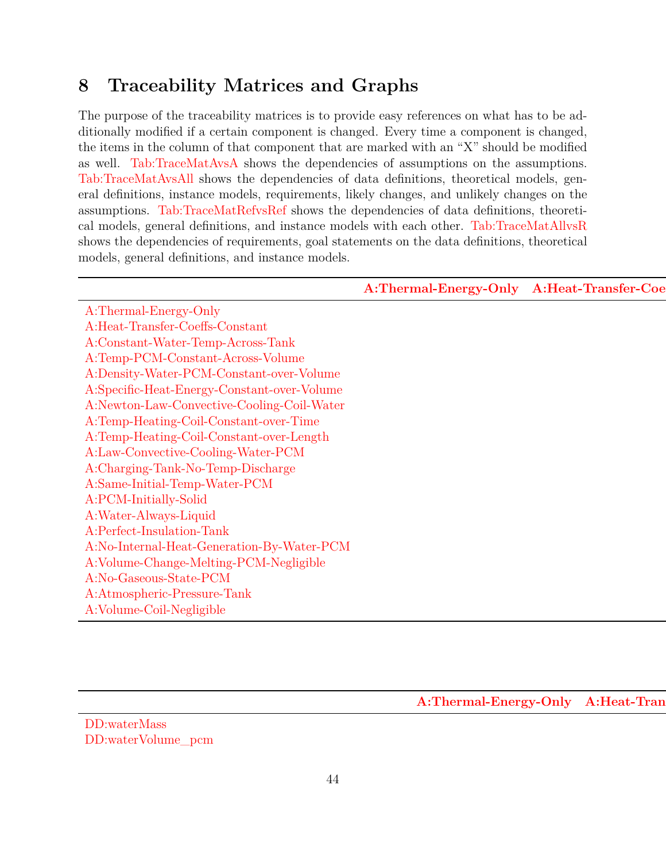## <span id="page-43-0"></span>**8 Traceability Matrices and Graphs**

The purpose of the traceability matrices is to provide easy references on what has to be additionally modified if a certain component is changed. Every time a component is changed, the items in the column of that component that are marked with an "X" should be modified as well. [Tab:TraceMatAvsA](#page-43-1) shows the dependencies of assumptions on the assumptions. [Tab:TraceMatAvsAll](#page-43-2) shows the dependencies of data definitions, theoretical models, general definitions, instance models, requirements, likely changes, and unlikely changes on the assumptions. [Tab:TraceMatRefvsRef](#page-45-0) shows the dependencies of data definitions, theoretical models, general definitions, and instance models with each other. [Tab:TraceMatAllvsR](#page-45-1) shows the dependencies of requirements, goal statements on the data definitions, theoretical models, general definitions, and instance models.

<span id="page-43-1"></span>

|                                                                                                                                                                                                                                                                                                                                                                                                                                                                                                                                                                                                              | A:Thermal-Energy-Only A:Heat-Transfer-Coe |
|--------------------------------------------------------------------------------------------------------------------------------------------------------------------------------------------------------------------------------------------------------------------------------------------------------------------------------------------------------------------------------------------------------------------------------------------------------------------------------------------------------------------------------------------------------------------------------------------------------------|-------------------------------------------|
| A:Thermal-Energy-Only                                                                                                                                                                                                                                                                                                                                                                                                                                                                                                                                                                                        |                                           |
| $\begin{array}{l} \textbf{A:Thermal-Energy-Only}\\ \textbf{A:Heat-Transfer-Coeffs-Constant}\\ \textbf{A:Constant-Water-Temp-Across-Tank}\\ \textbf{A:Temp-PCM-Constant-Across-Volume}\\ \textbf{A:Density-Water-PCM-Constant-over-Volume}\\ \textbf{A:Specific-Heat-Energy-Constant-over-Volume}\\ \textbf{A:Newton-Law-Convective-Cooling-Coil-Water}\\ \textbf{A:Temp-Heating-Coli-Constant-over-Temp}\\ \textbf{A:Law-Convective-Cooling-Water-PCM}\\ \textbf{A:Charging-Tank-No-Temp-Discharge}\\ \textbf{A:Same-Initial-Temp-Water-PCM}\\ \textbf{A:PCM-Initially-Solid}\\ \textbf{A:Water-Always-Liqu$ |                                           |
|                                                                                                                                                                                                                                                                                                                                                                                                                                                                                                                                                                                                              |                                           |
|                                                                                                                                                                                                                                                                                                                                                                                                                                                                                                                                                                                                              |                                           |
|                                                                                                                                                                                                                                                                                                                                                                                                                                                                                                                                                                                                              |                                           |
|                                                                                                                                                                                                                                                                                                                                                                                                                                                                                                                                                                                                              |                                           |
|                                                                                                                                                                                                                                                                                                                                                                                                                                                                                                                                                                                                              |                                           |
|                                                                                                                                                                                                                                                                                                                                                                                                                                                                                                                                                                                                              |                                           |
|                                                                                                                                                                                                                                                                                                                                                                                                                                                                                                                                                                                                              |                                           |
|                                                                                                                                                                                                                                                                                                                                                                                                                                                                                                                                                                                                              |                                           |
|                                                                                                                                                                                                                                                                                                                                                                                                                                                                                                                                                                                                              |                                           |
|                                                                                                                                                                                                                                                                                                                                                                                                                                                                                                                                                                                                              |                                           |
|                                                                                                                                                                                                                                                                                                                                                                                                                                                                                                                                                                                                              |                                           |
|                                                                                                                                                                                                                                                                                                                                                                                                                                                                                                                                                                                                              |                                           |
|                                                                                                                                                                                                                                                                                                                                                                                                                                                                                                                                                                                                              |                                           |
|                                                                                                                                                                                                                                                                                                                                                                                                                                                                                                                                                                                                              |                                           |
|                                                                                                                                                                                                                                                                                                                                                                                                                                                                                                                                                                                                              |                                           |
|                                                                                                                                                                                                                                                                                                                                                                                                                                                                                                                                                                                                              |                                           |
|                                                                                                                                                                                                                                                                                                                                                                                                                                                                                                                                                                                                              |                                           |
|                                                                                                                                                                                                                                                                                                                                                                                                                                                                                                                                                                                                              |                                           |

[A:Thermal-Energy-Only](#page-11-2) A:Heat-Tran

<span id="page-43-2"></span>[DD:waterMass](#page-21-0) [DD:waterVolume\\_pcm](#page-22-0) X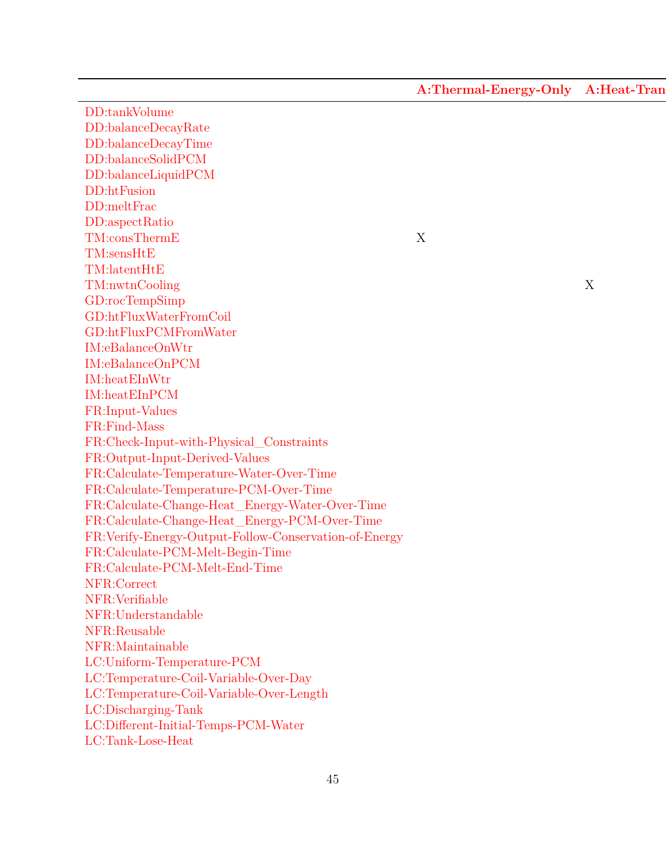[A:Thermal-Energy-Only](#page-11-2) A:Heat-Tran

[DD:tankVolume](#page-23-0) [DD:balanceDecayRate](#page-24-0) [DD:balanceDecayTime](#page-25-0) [DD:balanceSolidPCM](#page-26-0) [DD:balanceLiquidPCM](#page-27-0) [DD:htFusion](#page-28-0) [DD:meltFrac](#page-29-0) [DD:aspectRatio](#page-30-1) [TM:consThermE](#page-13-0) X [TM:sensHtE](#page-14-0) [TM:latentHtE](#page-15-0) [TM:nwtnCooling](#page-16-1) X [GD:rocTempSimp](#page-17-0) X X X X [GD:htFluxWaterFromCoil](#page-19-0) X X [GD:htFluxPCMFromWater](#page-20-1) X [IM:eBalanceOnWtr](#page-32-0)  $IM: eB a lanceOn PCM$ [IM:heatEInWtr](#page-36-0)  $IM:heat \& LinPCM$ [FR:Input-Values](#page-40-12) [FR:Find-Mass](#page-40-2) [FR:Check-Input-with-Physical\\_Constraints](#page-40-13) [FR:Output-Input-Derived-Values](#page-40-3) [FR:Calculate-Temperature-Water-Over-Time](#page-40-4) [FR:Calculate-Temperature-PCM-Over-Time](#page-40-5) [FR:Calculate-Change-Heat\\_Energy-Water-Over-Time](#page-40-8) [FR:Calculate-Change-Heat\\_Energy-PCM-Over-Time](#page-40-9) [FR:Verify-Energy-Output-Follow-Conservation-of-Energy](#page-40-10) [FR:Calculate-PCM-Melt-Begin-Time](#page-40-7) [FR:Calculate-PCM-Melt-End-Time](#page-40-6) [NFR:Correct](#page-41-1) [NFR:Verifiable](#page-41-2) [NFR:Understandable](#page-41-3) [NFR:Reusable](#page-42-11) [NFR:Maintainable](#page-42-12) [LC:Uniform-Temperature-PCM](#page-42-2) [LC:Temperature-Coil-Variable-Over-Day](#page-42-3) [LC:Temperature-Coil-Variable-Over-Length](#page-42-4) Xariable Xariable Xariable Xariable Xariable Xariable Xariable Xariable Xariable Xariable Xariable Xariable Xariable Xariable Xariable Xariable Xariable Xariable Xariable Xariable X [LC:Discharging-Tank](#page-42-5) [LC:Different-Initial-Temps-PCM-Water](#page-42-6) [LC:Tank-Lose-Heat](#page-42-8)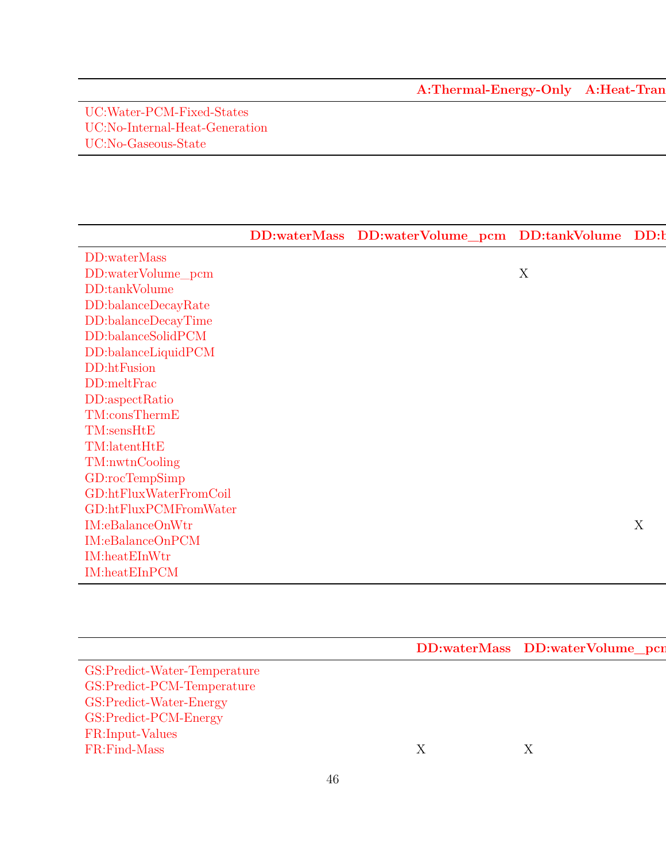[A:Thermal-Energy-Only](#page-11-2) A:Heat-Tran

[UC:Water-PCM-Fixed-States](#page-42-7) [UC:No-Internal-Heat-Generation](#page-42-9) XV and the set of the set of the set of the set of the set of the set of the set of the set of the set of the set of the set of the set of the set of the set of the set of the set of the set [UC:No-Gaseous-State](#page-42-10)

<span id="page-45-0"></span>

|                                                                                                                                                                                                                    | DD:waterMass DD:waterVolume_pcm DD:tankVolume DD:t |
|--------------------------------------------------------------------------------------------------------------------------------------------------------------------------------------------------------------------|----------------------------------------------------|
| DD:waterMass                                                                                                                                                                                                       |                                                    |
| DD:waterVolume_pcm                                                                                                                                                                                                 |                                                    |
| $\rm DD: tankVolume$                                                                                                                                                                                               |                                                    |
|                                                                                                                                                                                                                    |                                                    |
|                                                                                                                                                                                                                    |                                                    |
| DD:tankvoume<br>DD:balanceDecayRate<br>DD:balanceDecayTime<br>DD:balanceSolidPCM<br>DD:balanceLiquidPCM<br>DD:htFusion<br>DD:meltFrac<br>DD:aspectRatio<br>TM:consThermE<br>TM:sensHtE<br>TM:sensHtE<br>TM:sensHtE |                                                    |
|                                                                                                                                                                                                                    |                                                    |
|                                                                                                                                                                                                                    |                                                    |
|                                                                                                                                                                                                                    |                                                    |
|                                                                                                                                                                                                                    |                                                    |
|                                                                                                                                                                                                                    |                                                    |
|                                                                                                                                                                                                                    |                                                    |
|                                                                                                                                                                                                                    |                                                    |
| TM:nwtnCooling<br>GD:rocTempSimp                                                                                                                                                                                   |                                                    |
|                                                                                                                                                                                                                    |                                                    |
| $GD:$ htFluxWaterFromCoil                                                                                                                                                                                          |                                                    |
| $GD:$ ht $FluxPCMFromWater$                                                                                                                                                                                        |                                                    |
| $\label{lem:1} \hbox{\rm IM:} e \hbox{\rm BalanceOnWtr}$                                                                                                                                                           |                                                    |
| $IM: eBalanceOnPCM$                                                                                                                                                                                                |                                                    |
| $IM: \label{lem:optimal} \textit{IM}: \textit{heat} \textit{ElnWtr}$                                                                                                                                               |                                                    |
| $IM: \underline{heat} EInPCM$                                                                                                                                                                                      |                                                    |

<span id="page-45-1"></span>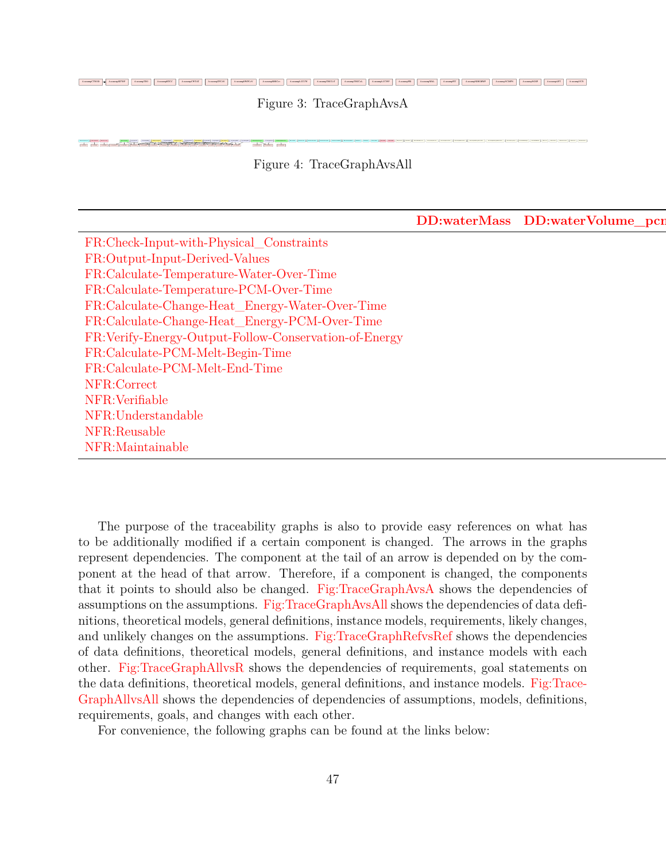<span id="page-46-0"></span>AxonayCTNOD A AxonaySITWP | AxonaySITWP | AxonaySITCC | AxonaySITCC | AxonaySITCC | AxonaySITCC | AxonaySITCC | AxonaySITCC | AxonaySITCC | AxonaySITCCT | AxonaySITCCT | AxonaySITCCT | AxonaySITCCT | AxonaySITCCT | AxonayS

Figure 3: TraceGraphAvsA

<span id="page-46-1"></span>A:assump<del>UCMPAS A:assump</del>  $\overline{\phantom{a}}$ A:assumption a:assumption a:assumption a:assumption a:assumption a:assumption a:assumption a:assumption a:assump 1. 1999. 1. 1999. 1. 1999. 1. 1999. 1. 1999. 1. 1999. 1. 1999. 1. 1999. 1. 1999. 1. 1999. 1. 1999. 1. 1999. 1. 1999. 1. 1999. 1. 1999. 1. 1999. 1. 1999. 1. 1999. 1. 1999. 1. 1999. 1. 1999. 1. 1999. 1. 1999. 1. 1999. 1. 199

Figure 4: TraceGraphAvsAll

[DD:waterMass](#page-21-0) DD:waterVolume\_pcr

[FR:Check-Input-with-Physical\\_Constraints](#page-40-13) [FR:Output-Input-Derived-Values](#page-40-3) X X X X X X [FR:Calculate-Temperature-Water-Over-Time](#page-40-4) [FR:Calculate-Temperature-PCM-Over-Time](#page-40-5) [FR:Calculate-Change-Heat\\_Energy-Water-Over-Time](#page-40-8) [FR:Calculate-Change-Heat\\_Energy-PCM-Over-Time](#page-40-9) [FR:Verify-Energy-Output-Follow-Conservation-of-Energy](#page-40-10) [FR:Calculate-PCM-Melt-Begin-Time](#page-40-7) X [FR:Calculate-PCM-Melt-End-Time](#page-40-6) [NFR:Correct](#page-41-1) [NFR:Verifiable](#page-41-2) [NFR:Understandable](#page-41-3) [NFR:Reusable](#page-42-11) [NFR:Maintainable](#page-42-12)

The purpose of the traceability graphs is also to provide easy references on what has to be additionally modified if a certain component is changed. The arrows in the graphs represent dependencies. The component at the tail of an arrow is depended on by the component at the head of that arrow. Therefore, if a component is changed, the components that it points to should also be changed. [Fig:TraceGraphAvsA](#page-46-0) shows the dependencies of assumptions on the assumptions. [Fig:TraceGraphAvsAll](#page-46-1) shows the dependencies of data definitions, theoretical models, general definitions, instance models, requirements, likely changes, and unlikely changes on the assumptions. [Fig:TraceGraphRefvsRef](#page-47-1) shows the dependencies of data definitions, theoretical models, general definitions, and instance models with each other. [Fig:TraceGraphAllvsR](#page-47-2) shows the dependencies of requirements, goal statements on the data definitions, theoretical models, general definitions, and instance models. [Fig:Trace-](#page-47-3)[GraphAllvsAll](#page-47-3) shows the dependencies of dependencies of assumptions, models, definitions, requirements, goals, and changes with each other.

For convenience, the following graphs can be found at the links below: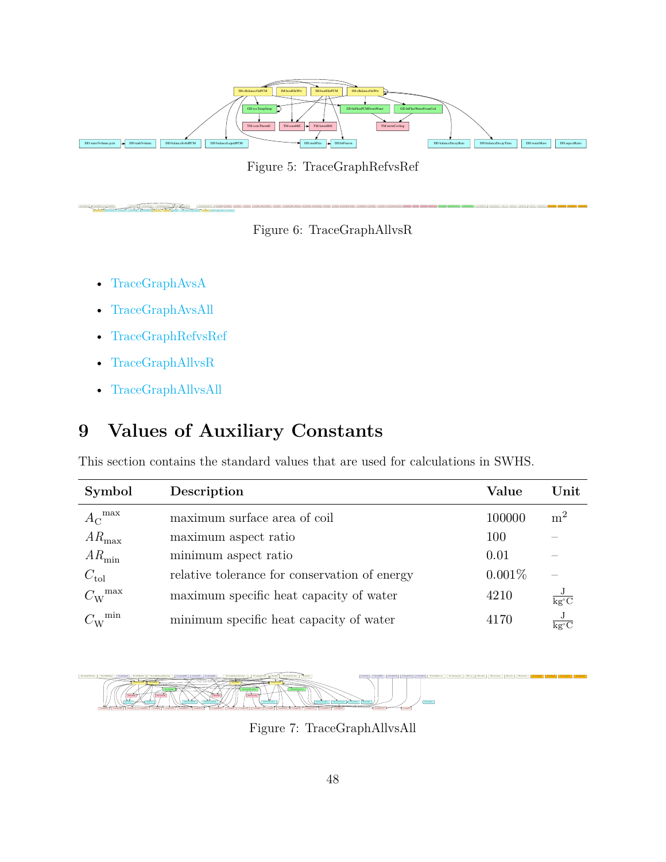<span id="page-47-1"></span>

Figure 5: TraceGraphRefvsRef

<span id="page-47-2"></span>



Starbert | Starbi | Starbing | Starbing | Starbertand | Starbington | Starbington | Starbing | Starbing | Starbing | Starbing | Starbing | Starbing | Starbing | Starbing | Starbing | Starbing | Starbing | Starbing | Starbi

- [TraceGraphAvsA](../../../../traceygraphs/swhs/avsa.svg)
- [TraceGraphAvsAll](../../../../traceygraphs/swhs/avsall.svg)
- [TraceGraphRefvsRef](../../../../traceygraphs/swhs/refvsref.svg)
- [TraceGraphAllvsR](../../../../traceygraphs/swhs/allvsr.svg)
- [TraceGraphAllvsAll](../../../../traceygraphs/swhs/allvsall.svg)

# <span id="page-47-0"></span>**9 Values of Auxiliary Constants**

This section contains the standard values that are used for calculations in SWHS.

| Symbol                   | Description                                   | Value  | $\bold{Unit}$  |
|--------------------------|-----------------------------------------------|--------|----------------|
| max<br>$A_{\rm C}$       | maximum surface area of coil                  | 100000 | m <sup>2</sup> |
| $AR_{\text{max}}$        | maximum aspect ratio                          | 100    |                |
| $AR_{\text{min}}$        | minimum aspect ratio                          | 0.01   |                |
| $C_{\text{tol}}$         | relative tolerance for conservation of energy | 0.001% |                |
| $C_{\rm W}^{\rm \; max}$ | maximum specific heat capacity of water       | 4210   | $kg^{\circ}C$  |
| min                      | minimum specific heat capacity of water       | 4170   | kg°C           |

<span id="page-47-3"></span>

Figure 7: TraceGraphAllvsAll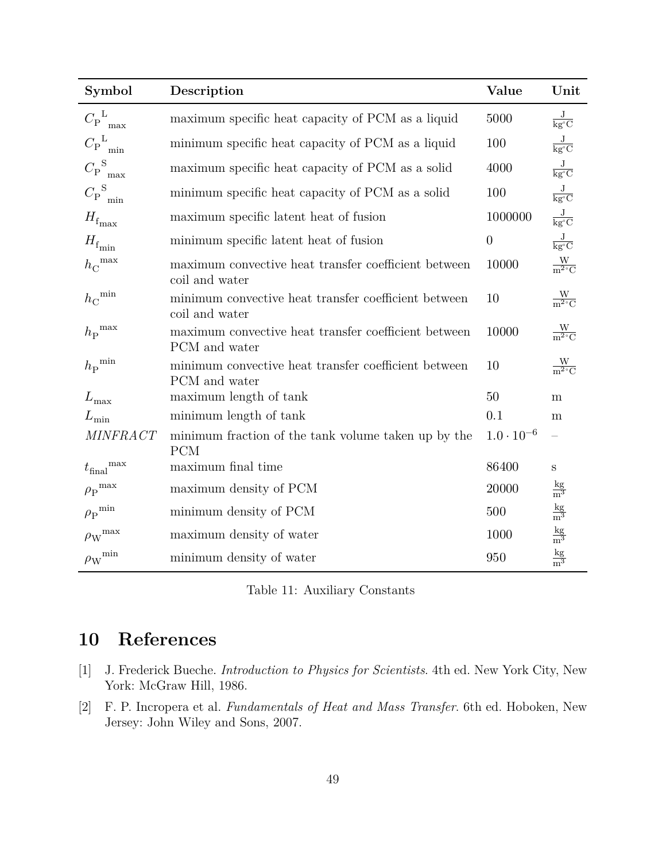| Symbol                           | Description                                                            | Value             | Unit                                         |
|----------------------------------|------------------------------------------------------------------------|-------------------|----------------------------------------------|
| ${C_{\rm P}}^{\rm L}_{\rm max}$  | maximum specific heat capacity of PCM as a liquid                      | 5000              | $\frac{\text{J}}{\text{kg}^{\circ}\text{C}}$ |
| ${C_{\rm P}}^{\rm L}_{\rm min}$  | minimum specific heat capacity of PCM as a liquid                      | 100               | $\frac{\text{J}}{\text{kg}^{\circ}\text{C}}$ |
| ${C_{\rm P}}_{\rm max}^{\rm S}$  | maximum specific heat capacity of PCM as a solid                       | 4000              | $\frac{\text{J}}{\text{kg}^{\circ}\text{C}}$ |
| ${C_{\rm P}}_{\rm min}^{\rm S}$  | minimum specific heat capacity of PCM as a solid                       | 100               | $\frac{\text{J}}{\text{kg}^{\circ}\text{C}}$ |
| $H_{\rm f_{max}}$                | maximum specific latent heat of fusion                                 | 1000000           | $\frac{\text{J}}{\text{kg}^{\circ}\text{C}}$ |
| $H_{\rm f_{min}}$                | minimum specific latent heat of fusion                                 | $\boldsymbol{0}$  | $\frac{\text{J}}{\text{kg}^{\circ}\text{C}}$ |
| $h_C$ <sup>max</sup>             | maximum convective heat transfer coefficient between<br>coil and water | 10000             | $\frac{W}{m^2 C}$                            |
| ${h_{\rm C}}^{\rm min}$          | minimum convective heat transfer coefficient between<br>coil and water | 10                | $\frac{W}{m^2 C}$                            |
| ${h_\mathrm{P}}^\mathrm{max}$    | maximum convective heat transfer coefficient between<br>PCM and water  | 10000             | $\frac{W}{m^2 C}$                            |
| ${h_\mathrm{P}}^{\mathrm{min}}$  | minimum convective heat transfer coefficient between<br>PCM and water  | 10                | $\frac{W}{m^2 C}$                            |
| $L_{\rm max}$                    | maximum length of tank                                                 | 50                | m                                            |
| $L_{\text{min}}$                 | minimum length of tank                                                 | 0.1               | m                                            |
| <b>MINFRACT</b>                  | minimum fraction of the tank volume taken up by the<br><b>PCM</b>      | $1.0\cdot10^{-6}$ |                                              |
| ${t_{\rm final}}^{\rm max}$      | maximum final time                                                     | 86400             | $\mathbf S$                                  |
| ${\rho_{\rm P}}^{\rm max}$       | maximum density of PCM                                                 | 20000             | $rac{\text{kg}}{\text{m}^3}$                 |
| ${\rho_{\rm P}}^{\rm min}$       | minimum density of PCM                                                 | 500               | $rac{\text{kg}}{\text{m}^3}$                 |
| ${\rho_{\text{W}}}^{\text{max}}$ | maximum density of water                                               | 1000              | $\frac{\text{kg}}{\text{m}^3}$               |
| ${\rho_{\text{W}}}^{\text{min}}$ | minimum density of water                                               | 950               | $\frac{\text{kg}}{\text{m}^3}$               |

Table 11: Auxiliary Constants

# <span id="page-48-0"></span>**10 References**

- <span id="page-48-2"></span>[1] J. Frederick Bueche. *Introduction to Physics for Scientists*. 4th ed. New York City, New York: McGraw Hill, 1986.
- <span id="page-48-1"></span>[2] F. P. Incropera et al. *Fundamentals of Heat and Mass Transfer*. 6th ed. Hoboken, New Jersey: John Wiley and Sons, 2007.